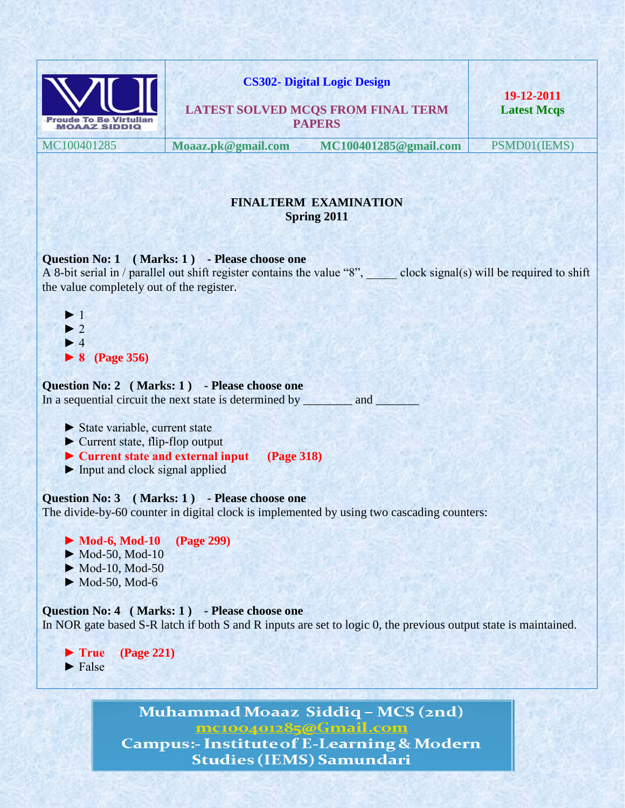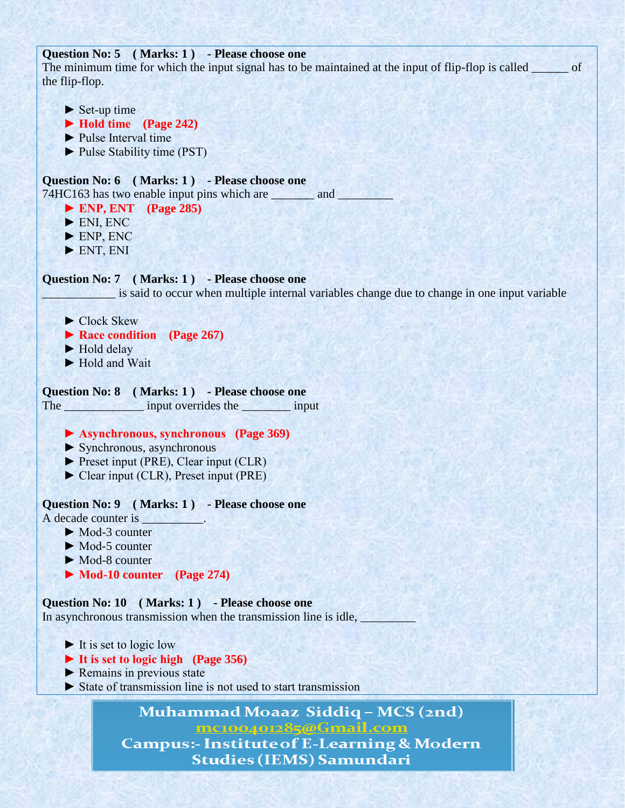## **Question No: 5 ( Marks: 1 ) - Please choose one**

The minimum time for which the input signal has to be maintained at the input of flip-flop is called of the flip-flop.

- $\blacktriangleright$  Set-up time
- **► Hold time (Page 242)**
- ► Pulse Interval time
- ► Pulse Stability time (PST)

## **Question No: 6 ( Marks: 1 ) - Please choose one**

74HC163 has two enable input pins which are \_\_\_\_\_\_\_\_ and \_\_\_\_\_\_\_

- **► ENP, ENT (Page 285)**
- $\blacktriangleright$  ENI, ENC
- ► ENP, ENC
- $\blacktriangleright$  ENT, ENI

## **Question No: 7 ( Marks: 1 ) - Please choose one**

is said to occur when multiple internal variables change due to change in one input variable

- ► Clock Skew
- **► Race condition (Page 267)**
- ► Hold delay
- ► Hold and Wait

## **Question No: 8 ( Marks: 1 ) - Please choose one**

The input overrides the input

## **► Asynchronous, synchronous (Page 369)**

- ► Synchronous, asynchronous
- ► Preset input (PRE), Clear input (CLR)
- ► Clear input (CLR), Preset input (PRE)

## **Question No: 9 ( Marks: 1 ) - Please choose one**

- A decade counter is
	- ► Mod-3 counter
	- ► Mod-5 counter
	- ► Mod-8 counter
	- **► Mod-10 counter (Page 274)**

**Question No: 10 ( Marks: 1 ) - Please choose one** In asynchronous transmission when the transmission line is idle,

- $\blacktriangleright$  It is set to logic low
- **► It is set to logic high (Page 356)**
- $\blacktriangleright$  Remains in previous state
- ► State of transmission line is not used to start transmission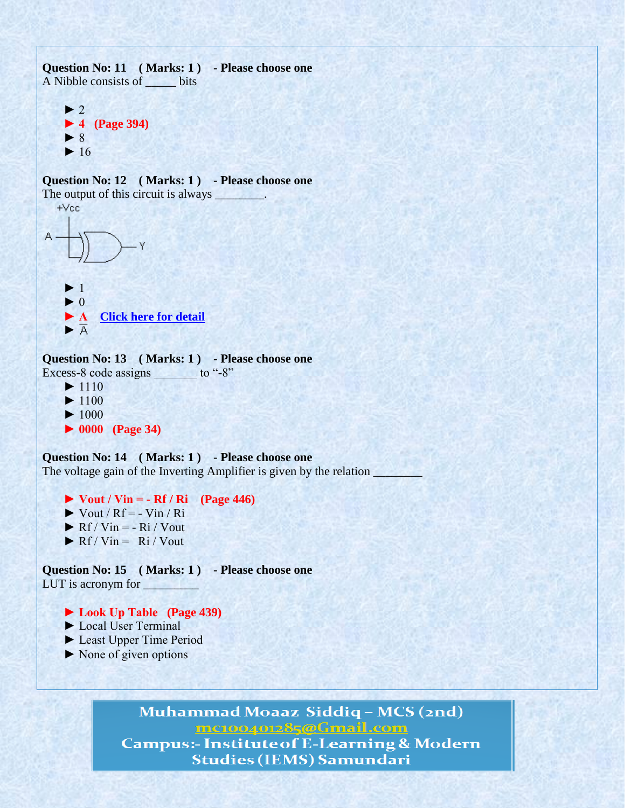**Question No: 11 ( Marks: 1 ) - Please choose one** A Nibble consists of \_\_\_\_\_ bits  $\blacktriangleright$  2  **► 4 (Page 394)**  $\blacktriangleright$  8  $\blacktriangleright$  16 **Question No: 12 ( Marks: 1 ) - Please choose one** The output of this circuit is always .  $+Vec$  $\blacktriangleright$  1  $\blacktriangleright$  0 **► A** [Click here for detail](http://www.indiabix.com/online-test/digital-electronics-test/132) ► **Question No: 13 ( Marks: 1 ) - Please choose one** Excess-8 code assigns  $\qquad$  to "-8"  $\blacktriangleright$  1110  $\blacktriangleright$  1100  $\blacktriangleright$  1000 **► 0000 (Page 34) Question No: 14 ( Marks: 1 ) - Please choose one** The voltage gain of the Inverting Amplifier is given by the relation  $\Box$  **► Vout / Vin = - Rf / Ri (Page 446)**  $\triangleright$  Vout / Rf = - Vin / Ri  $\triangleright$  Rf / Vin = - Ri / Vout

 $\triangleright$  Rf / Vin = Ri / Vout

**Question No: 15 ( Marks: 1 ) - Please choose one** LUT is acronym for

## **► Look Up Table (Page 439)**

- ► Local User Terminal
- ► Least Upper Time Period
- $\triangleright$  None of given options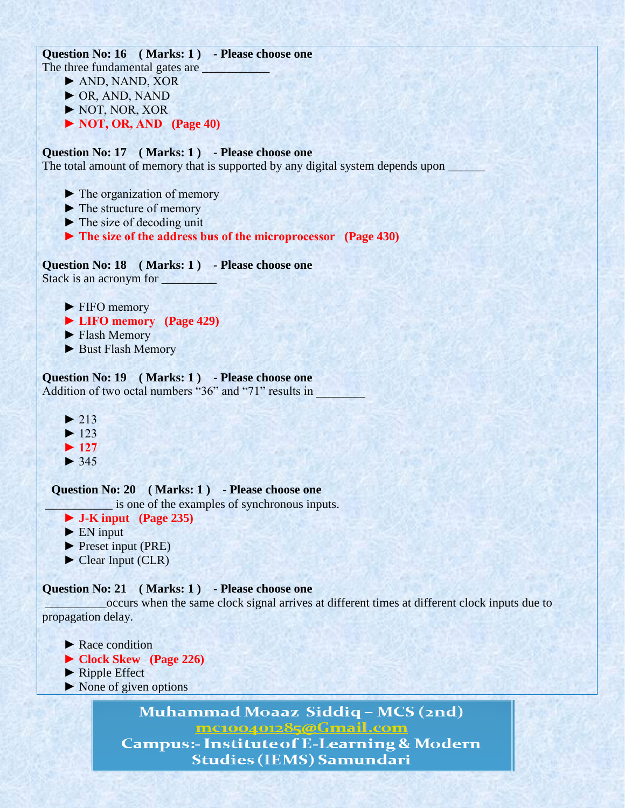**Question No: 16 ( Marks: 1 ) - Please choose one** The three fundamental gates are

- ► AND, NAND, XOR
- ► OR, AND, NAND
- ► NOT, NOR, XOR
- **► NOT, OR, AND (Page 40)**

## **Question No: 17 ( Marks: 1 ) - Please choose one**

The total amount of memory that is supported by any digital system depends upon

- ► The organization of memory
- ► The structure of memory
- $\blacktriangleright$  The size of decoding unit
- **► The size of the address bus of the microprocessor (Page 430)**

## **Question No: 18 ( Marks: 1 ) - Please choose one**

Stack is an acronym for \_\_\_\_\_\_\_\_\_

- ► FIFO memory
- **► LIFO memory (Page 429)**
- ► Flash Memory
- ► Bust Flash Memory

## **Question No: 19 ( Marks: 1 ) - Please choose one**

Addition of two octal numbers "36" and "71" results in

- $\blacktriangleright$  213  $\blacktriangleright$  123
- **► 127**
- $\blacktriangleright$  345

## **Question No: 20 ( Marks: 1 ) - Please choose one**

\_\_\_\_\_\_\_\_\_\_\_ is one of the examples of synchronous inputs.

- **► J-K input (Page 235)**
- $\blacktriangleright$  EN input
- ► Preset input (PRE)
- ► Clear Input (CLR)

## **Question No: 21 ( Marks: 1 ) - Please choose one**

\_\_\_\_\_\_\_\_\_\_occurs when the same clock signal arrives at different times at different clock inputs due to propagation delay.

- ► Race condition
- **► Clock Skew (Page 226)**
- ► Ripple Effect
- ► None of given options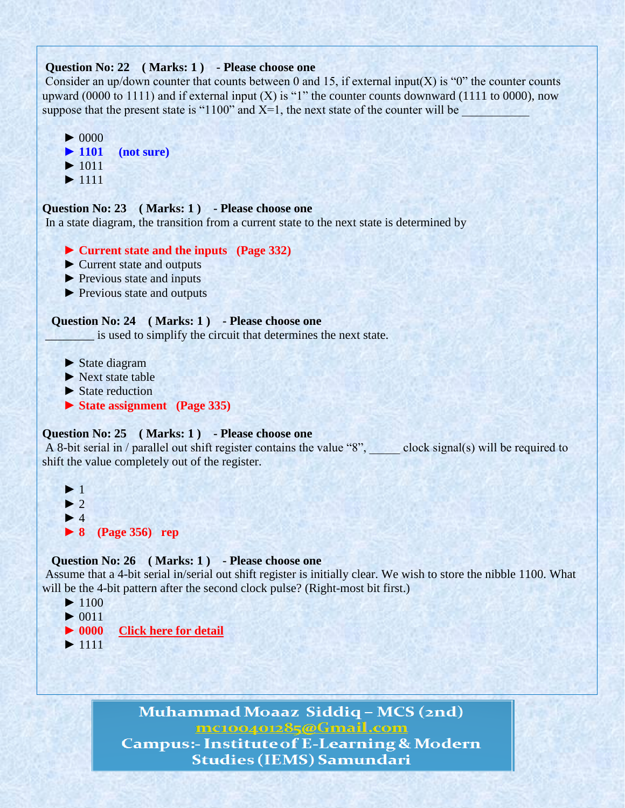## **Question No: 22 ( Marks: 1 ) - Please choose one**

Consider an up/down counter that counts between 0 and 15, if external input(X) is "0" the counter counts upward (0000 to 1111) and if external input  $(X)$  is "1" the counter counts downward (1111 to 0000), now suppose that the present state is "1100" and  $X=1$ , the next state of the counter will be

```
\blacktriangleright 0000
 ► 1101 (not sure)
\blacktriangleright 1011
 ► 1111
```
## **Question No: 23 ( Marks: 1 ) - Please choose one**

In a state diagram, the transition from a current state to the next state is determined by

- **► Current state and the inputs (Page 332)**
- ► Current state and outputs
- ► Previous state and inputs
- ► Previous state and outputs

#### **Question No: 24 ( Marks: 1 ) - Please choose one**

\_\_\_\_\_\_\_\_ is used to simplify the circuit that determines the next state.

- ► State diagram
- $\blacktriangleright$  Next state table
- ▶ State reduction
- **► State assignment (Page 335)**

## **Question No: 25 ( Marks: 1 ) - Please choose one**

A 8-bit serial in / parallel out shift register contains the value "8", elock signal(s) will be required to shift the value completely out of the register.

```
\blacktriangleright 1
\blacktriangleright 2
\blacktriangleright 4
 ► 8 (Page 356) rep
```
## **Question No: 26 ( Marks: 1 ) - Please choose one**

Assume that a 4-bit serial in/serial out shift register is initially clear. We wish to store the nibble 1100. What will be the 4-bit pattern after the second clock pulse? (Right-most bit first.)

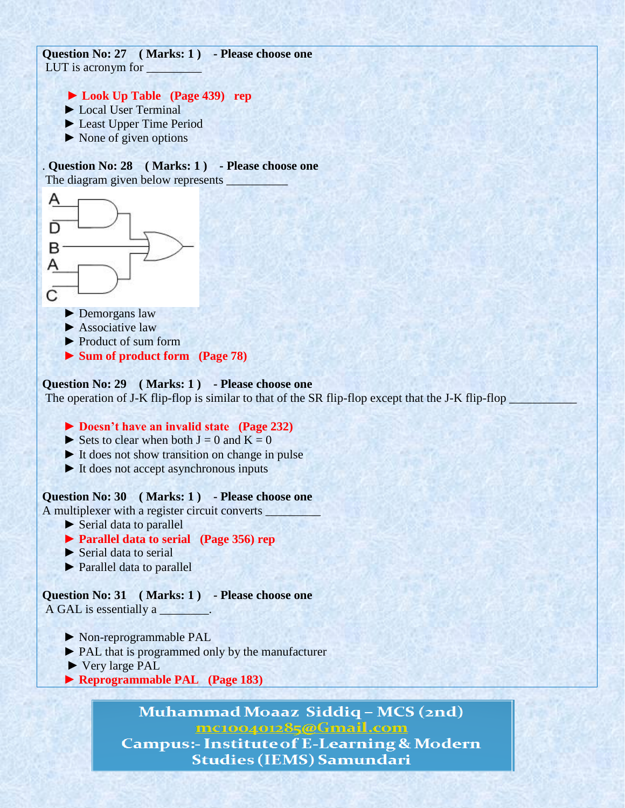**Question No: 27 ( Marks: 1 ) - Please choose one** LUT is acronym for

- **► Look Up Table (Page 439) rep**
- ► Local User Terminal
- ► Least Upper Time Period
- $\triangleright$  None of given options

. **Question No: 28 ( Marks: 1 ) - Please choose one** The diagram given below represents



- $\blacktriangleright$  Associative law
- ► Product of sum form
- **► Sum of product form (Page 78)**

## **Question No: 29 ( Marks: 1 ) - Please choose one**

The operation of J-K flip-flop is similar to that of the SR flip-flop except that the J-K flip-flop \_

## **► Doesn't have an invalid state (Page 232)**

- $\triangleright$  Sets to clear when both  $J = 0$  and  $K = 0$
- ► It does not show transition on change in pulse
- ► It does not accept asynchronous inputs

## **Question No: 30 ( Marks: 1 ) - Please choose one**

A multiplexer with a register circuit converts \_

► Serial data to parallel

## **► Parallel data to serial (Page 356) rep**

- ► Serial data to serial
- ► Parallel data to parallel

**Question No: 31 ( Marks: 1 ) - Please choose one** A GAL is essentially a \_\_\_\_\_\_\_\_.

- ► Non-reprogrammable PAL
- ► PAL that is programmed only by the manufacturer
- ► Very large PAL
- **► Reprogrammable PAL (Page 183)**

Muhammad Moaaz Siddiq - MCS (2nd) mc100401285@Gmail.com **Campus:- Institute of E-Learning & Modern** 

**Studies (IEMS) Samundari**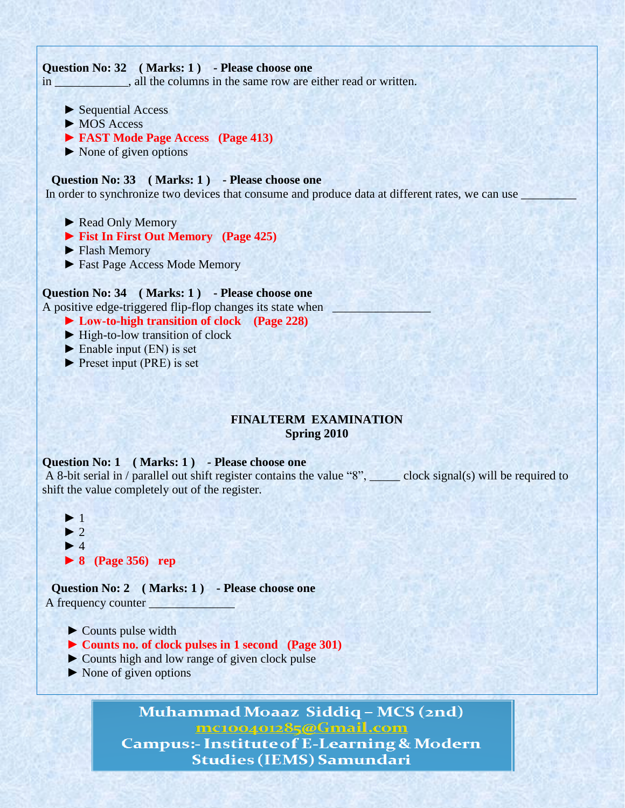## **Question No: 32 ( Marks: 1 ) - Please choose one**

in \_\_\_\_\_\_\_\_\_\_, all the columns in the same row are either read or written.

- ► Sequential Access
- ► MOS Access
- **► FAST Mode Page Access (Page 413)**
- ► None of given options

## **Question No: 33 ( Marks: 1 ) - Please choose one**

In order to synchronize two devices that consume and produce data at different rates, we can use

- ► Read Only Memory
- **► Fist In First Out Memory (Page 425)**
- ► Flash Memory
- ► Fast Page Access Mode Memory

## **Question No: 34 ( Marks: 1 ) - Please choose one**

A positive edge-triggered flip-flop changes its state when

- **► Low-to-high transition of clock (Page 228)**
- ► High-to-low transition of clock
- $\blacktriangleright$  Enable input (EN) is set
- ► Preset input (PRE) is set

## **FINALTERM EXAMINATION Spring 2010**

## **Question No: 1 ( Marks: 1 ) - Please choose one**

A 8-bit serial in / parallel out shift register contains the value "8", \_\_\_\_\_ clock signal(s) will be required to shift the value completely out of the register.

 $\blacktriangleright$  $\blacktriangleright$  $\blacktriangleright$  **► 8 (Page 356) rep**

 **Question No: 2 ( Marks: 1 ) - Please choose one** A frequency counter  $\Box$ 

- ► Counts pulse width
- **► Counts no. of clock pulses in 1 second (Page 301)**
- ► Counts high and low range of given clock pulse
- ► None of given options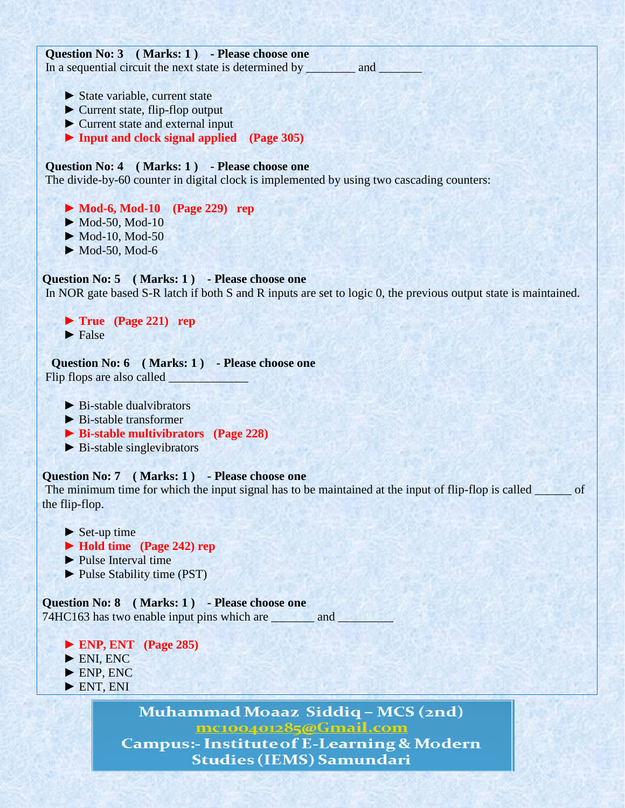**Question No: 3 ( Marks: 1 ) - Please choose one** In a sequential circuit the next state is determined by \_\_\_\_\_\_\_\_\_ and \_\_\_\_\_\_\_\_\_\_ ► State variable, current state ► Current state, flip-flop output ► Current state and external input  **► Input and clock signal applied (Page 305)**

## **Question No: 4 ( Marks: 1 ) - Please choose one**

The divide-by-60 counter in digital clock is implemented by using two cascading counters:

 **► Mod-6, Mod-10 (Page 229) rep**  $\blacktriangleright$  Mod-50, Mod-10

► Mod-10, Mod-50

 $\blacktriangleright$  Mod-50, Mod-6

**Question No: 5 ( Marks: 1 ) - Please choose one**

In NOR gate based S-R latch if both S and R inputs are set to logic 0, the previous output state is maintained.

 **► True (Page 221) rep**  $\blacktriangleright$  False

 **Question No: 6 ( Marks: 1 ) - Please choose one** Flip flops are also called

- $\triangleright$  Bi-stable dualyibrators
- ► Bi-stable transformer
- **► Bi-stable multivibrators (Page 228)**
- ► Bi-stable singlevibrators

## **Question No: 7 ( Marks: 1 ) - Please choose one**

The minimum time for which the input signal has to be maintained at the input of flip-flop is called \_\_\_\_\_\_ of the flip-flop.

- $\blacktriangleright$  Set-up time  **► Hold time (Page 242) rep** ► Pulse Interval time
- 
- ► Pulse Stability time (PST)

**Question No: 8 ( Marks: 1 ) - Please choose one** 74HC163 has two enable input pins which are \_\_\_\_\_\_\_\_ and \_\_\_\_\_\_\_\_\_

- **► ENP, ENT (Page 285)**
- ► ENI, ENC
- ► ENP, ENC
- ► ENT, ENI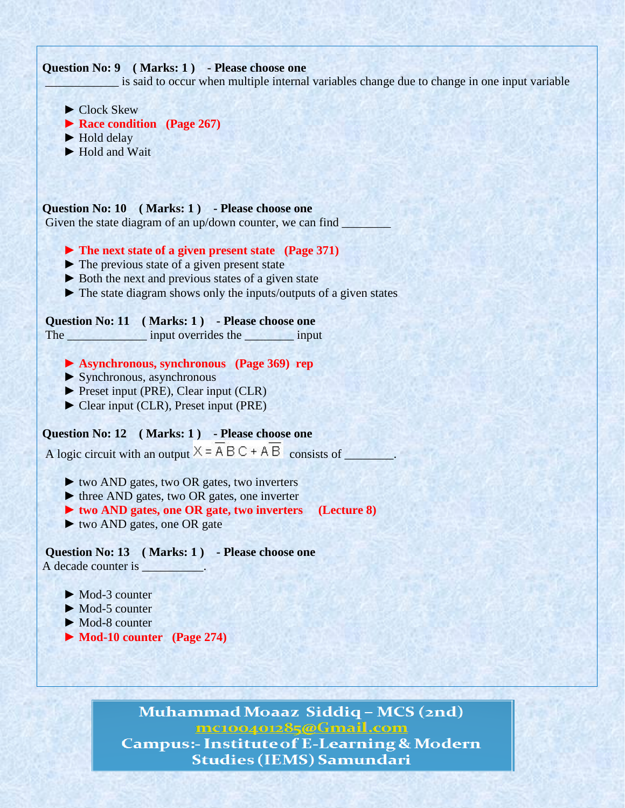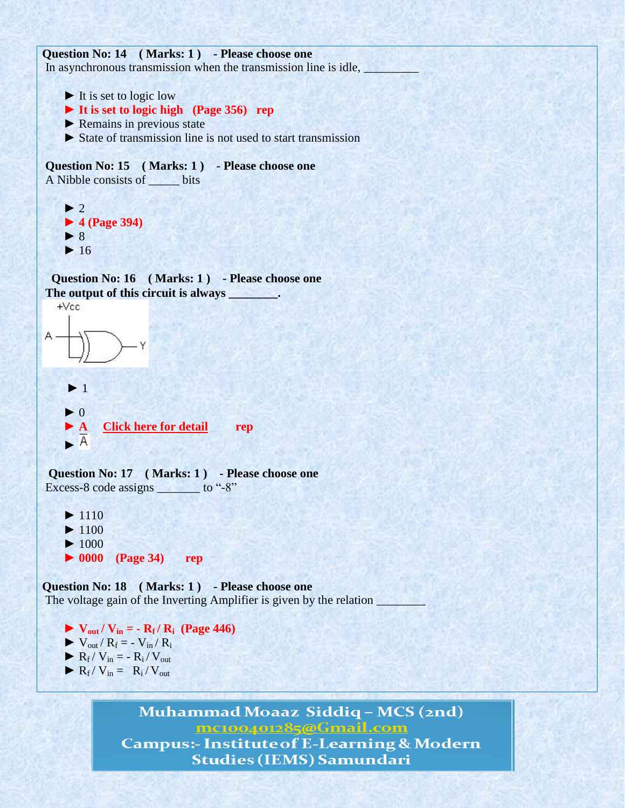```
Question No: 14 ( Marks: 1 ) - Please choose one
In asynchronous transmission when the transmission line is idle,
     \blacktriangleright It is set to logic low
      ► It is set to logic high (Page 356) rep
      ► Remains in previous state
      ► State of transmission line is not used to start transmission
Question No: 15 ( Marks: 1 ) - Please choose one
A Nibble consists of _____ bits
     \blacktriangleright 2
      ► 4 (Page 394)
      ► 8
     \blacktriangleright 16
   Question No: 16 ( Marks: 1 ) - Please choose one
The output of this circuit is always ________.
   +VecY
     \blacktriangleright 1
     \blacktriangleright 0
        ► A Click here for detail rep
      ►
  Question No: 17 ( Marks: 1 ) - Please choose one
Excess-8 code assigns _______ to "-8"
     \blacktriangleright 1110
     \blacktriangleright 1100
     \blacktriangleright 1000
      ► 0000 (Page 34) rep
Question No: 18 ( Marks: 1 ) - Please choose one
```
The voltage gain of the Inverting Amplifier is given by the relation  $\Box$ 

 $\triangleright$  **V**<sub>out</sub> / **V**<sub>in</sub> = **- R**<sub>f</sub> / **R**<sub>i</sub> (Page 446)  $\blacktriangleright$  V<sub>out</sub> / R<sub>f</sub> = - V<sub>in</sub> / R<sub>i</sub>  $\blacktriangleright R_f / V_{in} = - R_i / V_{out}$  $\blacktriangleright R_f / V_{in} = R_i / V_{out}$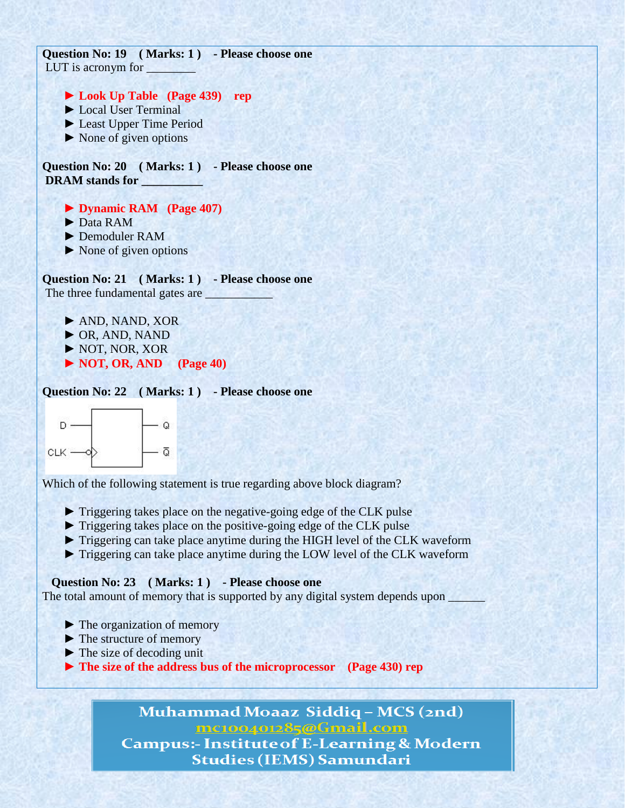**Question No: 19 ( Marks: 1 ) - Please choose one** LUT is acronym for

 **► Look Up Table (Page 439) rep**

- ► Local User Terminal
- ► Least Upper Time Period
- $\triangleright$  None of given options

**Question No: 20 ( Marks: 1 ) - Please choose one DRAM stands for \_\_\_\_\_\_\_\_\_\_**

 **► Dynamic RAM (Page 407)**

- ► Data RAM
- ► Demoduler RAM
- ► None of given options

**Question No: 21 ( Marks: 1 ) - Please choose one** The three fundamental gates are \_\_\_\_\_\_\_\_\_\_\_

► AND, NAND, XOR

- ► OR, AND, NAND
- ► NOT, NOR, XOR
- **► NOT, OR, AND (Page 40)**

**Question No: 22 ( Marks: 1 ) - Please choose one**



Which of the following statement is true regarding above block diagram?

- ► Triggering takes place on the negative-going edge of the CLK pulse
- ► Triggering takes place on the positive-going edge of the CLK pulse
- ► Triggering can take place anytime during the HIGH level of the CLK waveform
- ► Triggering can take place anytime during the LOW level of the CLK waveform

## **Question No: 23 ( Marks: 1 ) - Please choose one**

The total amount of memory that is supported by any digital system depends upon

- ► The organization of memory
- ► The structure of memory
- $\blacktriangleright$  The size of decoding unit
- **► The size of the address bus of the microprocessor (Page 430) rep**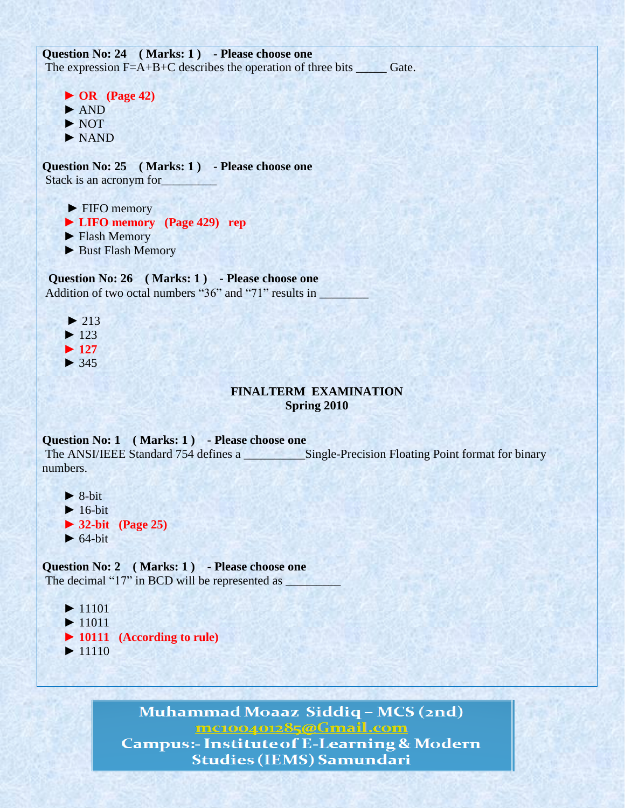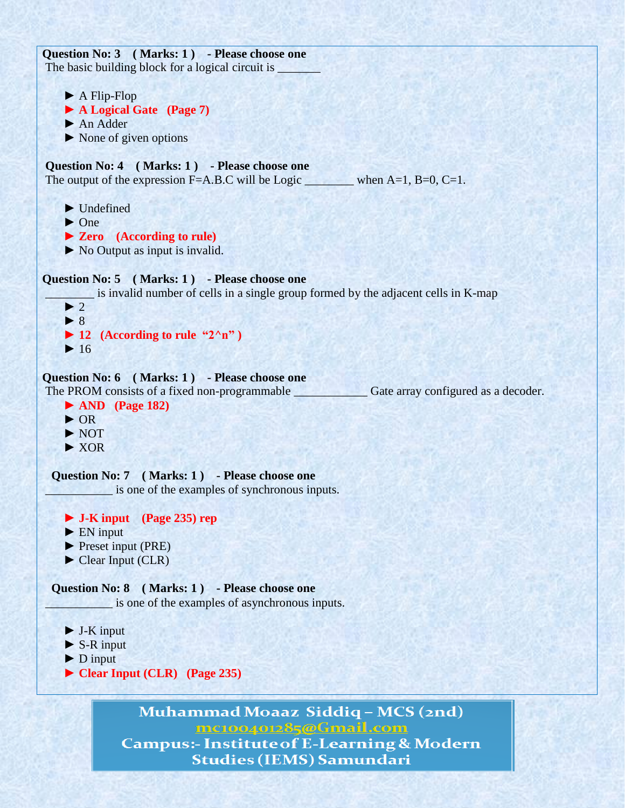**Question No: 3 ( Marks: 1 ) - Please choose one** The basic building block for a logical circuit is ► A Flip-Flop  **► A Logical Gate (Page 7)** ► An Adder  $\triangleright$  None of given options **Question No: 4 ( Marks: 1 ) - Please choose one** The output of the expression F=A.B.C will be Logic \_\_\_\_\_\_\_\_\_\_ when  $A=1$ , B=0, C=1. ► Undefined ► One  **► Zero (According to rule)** ► No Output as input is invalid. **Question No: 5 ( Marks: 1 ) - Please choose one** \_\_\_\_\_\_\_\_ is invalid number of cells in a single group formed by the adjacent cells in K-map  $\blacktriangleright$  2 ► 8  $\blacktriangleright$  **12** (According to rule "2^n")  $\blacktriangleright$  16 **Question No: 6 ( Marks: 1 ) - Please choose one** The PROM consists of a fixed non-programmable Gate array configured as a decoder.  **► AND (Page 182)** ► OR ► NOT ► XOR **Question No: 7 ( Marks: 1 ) - Please choose one** \_\_\_\_\_\_\_\_\_\_\_ is one of the examples of synchronous inputs.  **► J-K input (Page 235) rep** ► EN input ► Preset input (PRE) ► Clear Input (CLR) **Question No: 8 ( Marks: 1 ) - Please choose one** \_\_\_\_\_\_\_\_\_\_\_ is one of the examples of asynchronous inputs. ► J-K input  $\triangleright$  S-R input  $\blacktriangleright$  D input  **► Clear Input (CLR) (Page 235)**Muhammad Moaaz Siddiq – MCS (2nd)

mc100401285@Gmail.com

**Campus:- Institute of E-Learning & Modern Studies (IEMS) Samundari**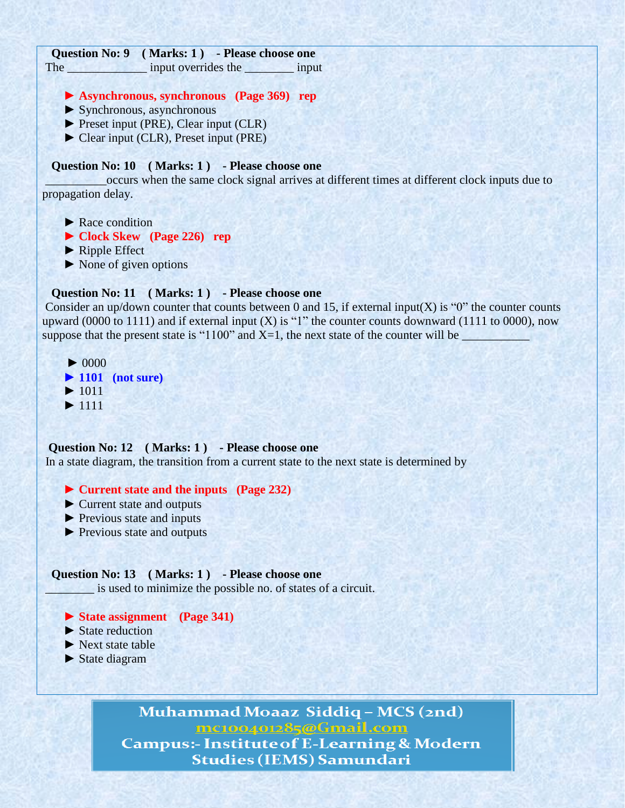| Question No: 9 (Marks: 1) - Please choose one                                                                |
|--------------------------------------------------------------------------------------------------------------|
| The input overrides the input                                                                                |
|                                                                                                              |
| Asynchronous, synchronous (Page 369) rep                                                                     |
| $\triangleright$ Synchronous, asynchronous                                                                   |
| $\blacktriangleright$ Preset input (PRE), Clear input (CLR)                                                  |
| Clear input (CLR), Preset input (PRE)                                                                        |
|                                                                                                              |
| Question No: 10 (Marks: 1) - Please choose one                                                               |
| occurs when the same clock signal arrives at different times at different clock inputs due to                |
| propagation delay.                                                                                           |
|                                                                                                              |
| $\blacktriangleright$ Race condition                                                                         |
| $\triangleright$ Clock Skew (Page 226) rep                                                                   |
| $\blacktriangleright$ Ripple Effect                                                                          |
| $\triangleright$ None of given options                                                                       |
|                                                                                                              |
| Question No: 11 (Marks: 1) - Please choose one                                                               |
| Consider an up/down counter that counts between 0 and 15, if external input(X) is " $0$ " the counter counts |
| upward (0000 to 1111) and if external input (X) is "1" the counter counts downward (1111 to 0000), now       |
| suppose that the present state is "1100" and $X=1$ , the next state of the counter will be                   |
|                                                                                                              |

```
 ► 0000
 ► 1101 (not sure)
\blacktriangleright 1011
 ► 1111
```
#### **Question No: 12 ( Marks: 1 ) - Please choose one**

In a state diagram, the transition from a current state to the next state is determined by

#### **► Current state and the inputs (Page 232)**

- ► Current state and outputs
- ► Previous state and inputs
- ► Previous state and outputs

#### **Question No: 13 ( Marks: 1 ) - Please choose one**

\_\_\_\_\_\_\_\_ is used to minimize the possible no. of states of a circuit.

- **► State assignment (Page 341)**
- $\blacktriangleright$  State reduction
- ► Next state table
- ► State diagram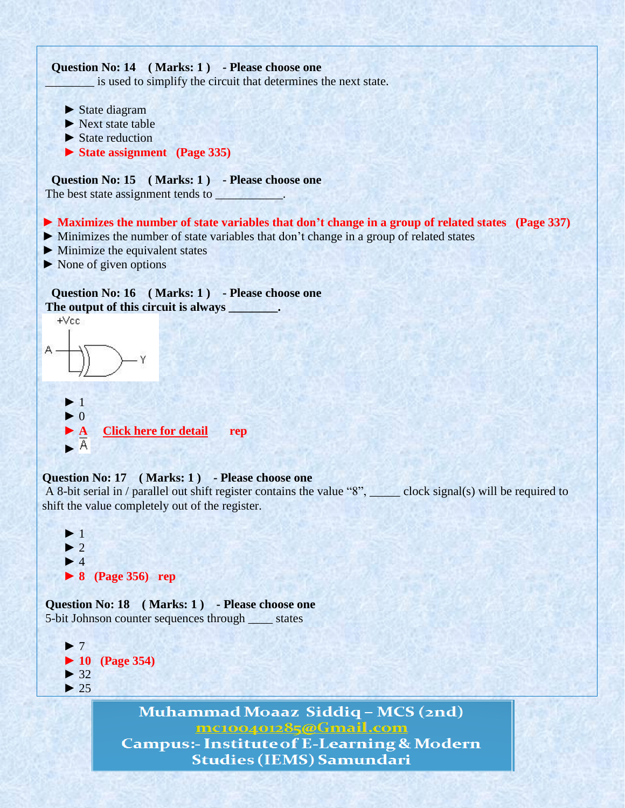

mc100401285@Gmail.com

**Campus:- Institute of E-Learning & Modern Studies (IEMS) Samundari**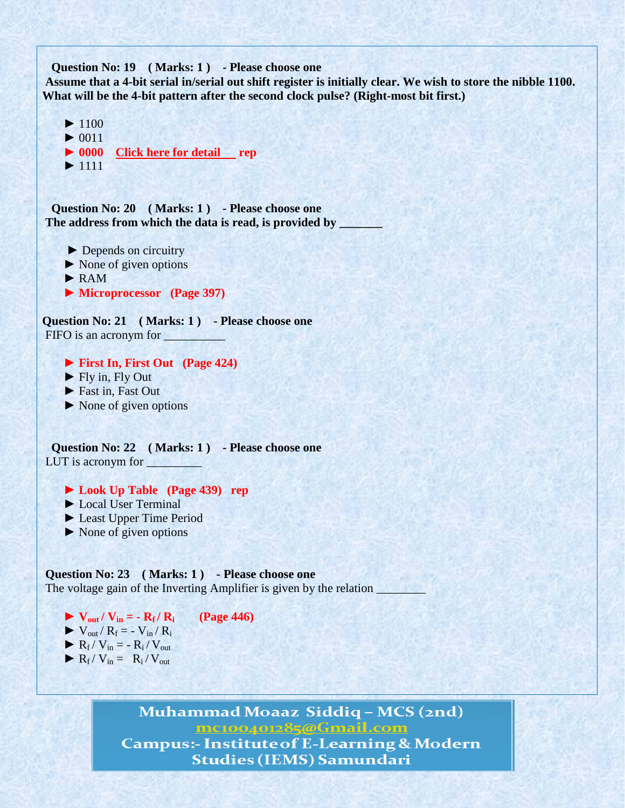```
 Question No: 19 ( Marks: 1 ) - Please choose one
```
Assume that a 4-bit serial in/serial out shift register is initially clear. We wish to store the nibble 1100. **What will be the 4-bit pattern after the second clock pulse? (Right-most bit first.)**



 **Question No: 20 ( Marks: 1 ) - Please choose one The address from which the data is read, is provided by \_\_\_\_\_\_\_**

► Depends on circuitry

- ► None of given options
- ► RAM
- ► **Microprocessor (Page 397)**

**Question No: 21 ( Marks: 1 ) - Please choose one** FIFO is an acronym for

**► First In, First Out (Page 424)**

- $\blacktriangleright$  Fly in, Fly Out
- ► Fast in, Fast Out
- ► None of given options

 **Question No: 22 ( Marks: 1 ) - Please choose one** LUT is acronym for \_\_\_\_\_\_\_\_\_

- **► Look Up Table (Page 439) rep**
- ► Local User Terminal
- ► Least Upper Time Period
- ► None of given options

**Question No: 23 ( Marks: 1 ) - Please choose one** The voltage gain of the Inverting Amplifier is given by the relation

- $\blacktriangleright$  **V**<sub>out</sub> / **V**<sub>in</sub> =  $\boldsymbol{-}$  **R**<sub>f</sub> / **R**<sub>i</sub> (Page 446)  $\blacktriangleright$  V<sub>out</sub> / R<sub>f</sub> = - V<sub>in</sub> / R<sub>i</sub>
- $\blacktriangleright R_f / V_{in} = R_i / V_{out}$
- $\blacktriangleright R_f / V_{in} = R_i / V_{out}$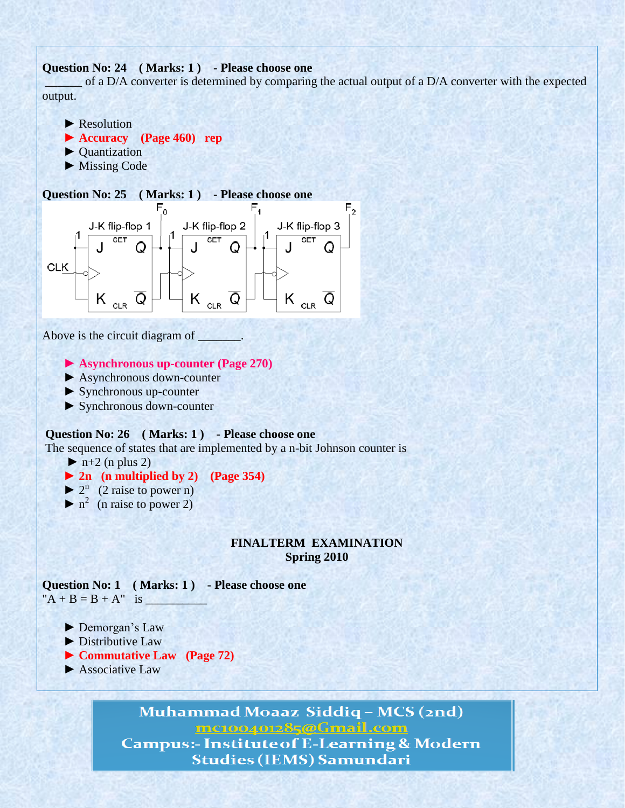## **Question No: 24 ( Marks: 1 ) - Please choose one**

\_\_\_\_\_\_ of a D/A converter is determined by comparing the actual output of a D/A converter with the expected output.



► Missing Code

#### **Question No: 25 ( Marks: 1 ) - Please choose one**



Above is the circuit diagram of \_

#### **► Asynchronous up-counter (Page 270)**

- ► Asynchronous down-counter
- ► Synchronous up-counter
- ► Synchronous down-counter

#### **Question No: 26 ( Marks: 1 ) - Please choose one**

The sequence of states that are implemented by a n-bit Johnson counter is

 $\blacktriangleright$  n+2 (n plus 2)

## **► 2n (n multiplied by 2) (Page 354)**

- $\blacktriangleright$  2<sup>n</sup> (2 raise to power n)
- $\triangleright$  n<sup>2</sup> (n raise to power 2)

## **FINALTERM EXAMINATION Spring 2010**

**Question No: 1 ( Marks: 1 ) - Please choose one**  $'A + B = B + A''$  is

- ▶ Demorgan's Law
- ► Distributive Law
- **► Commutative Law (Page 72)**
- ► Associative Law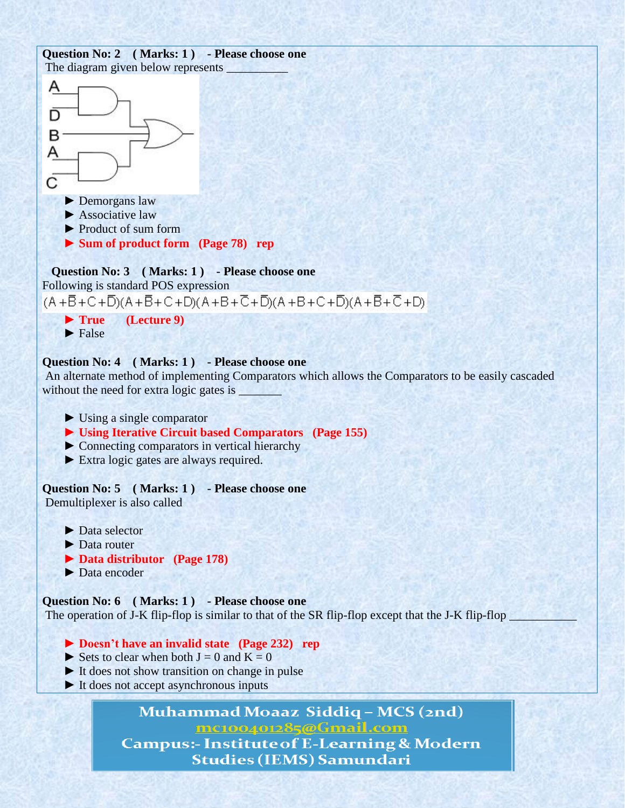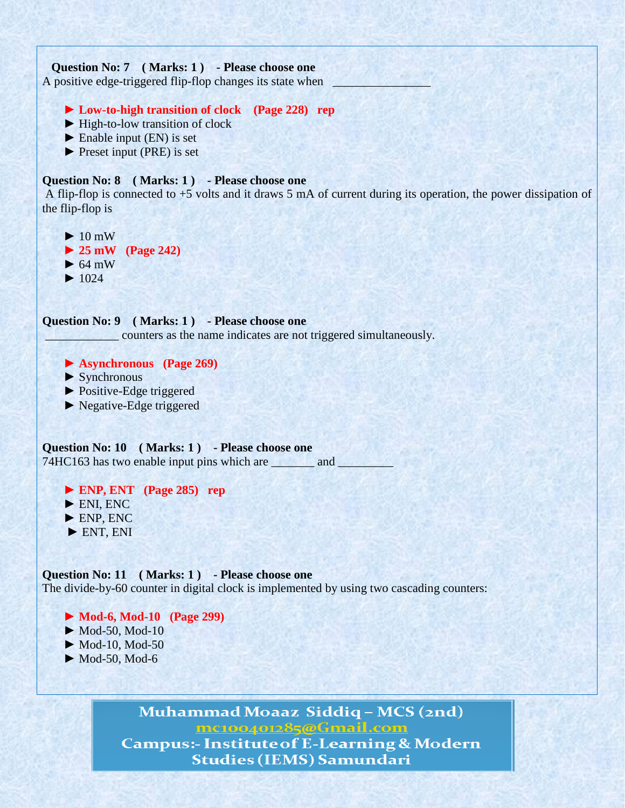

**Question No: 11 ( Marks: 1 ) - Please choose one** The divide-by-60 counter in digital clock is implemented by using two cascading counters:

- **► Mod-6, Mod-10 (Page 299)**  $\blacktriangleright$  Mod-50, Mod-10  $\blacktriangleright$  Mod-10, Mod-50
- $\blacktriangleright$  Mod-50, Mod-6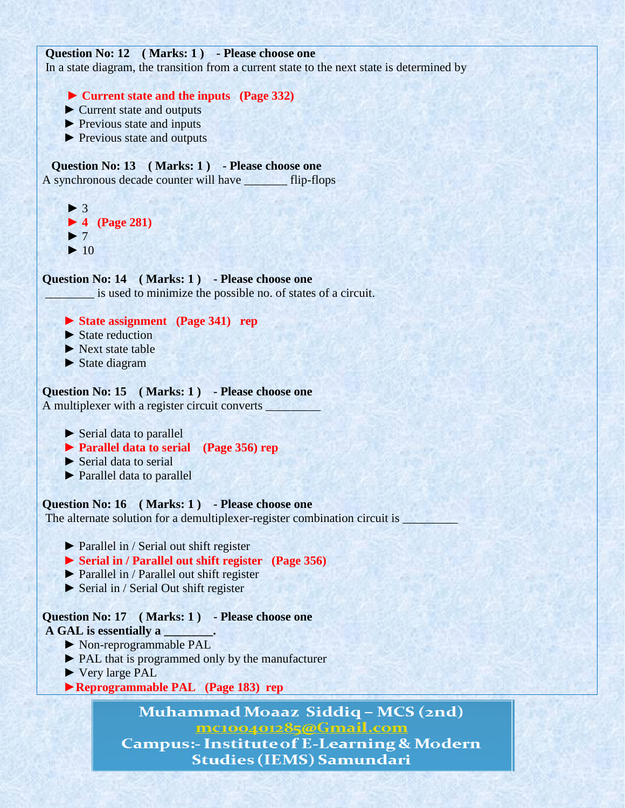```
Question No: 12 ( Marks: 1 ) - Please choose one
```
In a state diagram, the transition from a current state to the next state is determined by

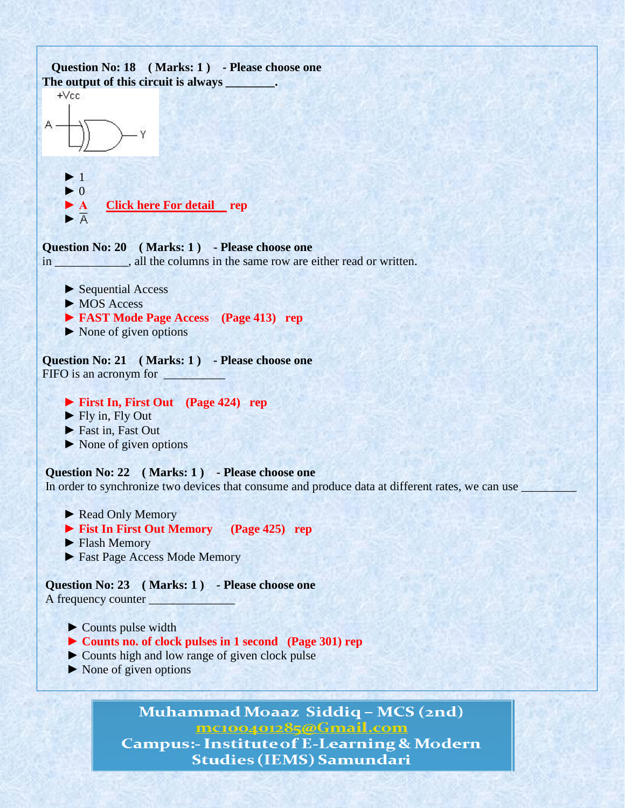

 $\triangleright$  None of given options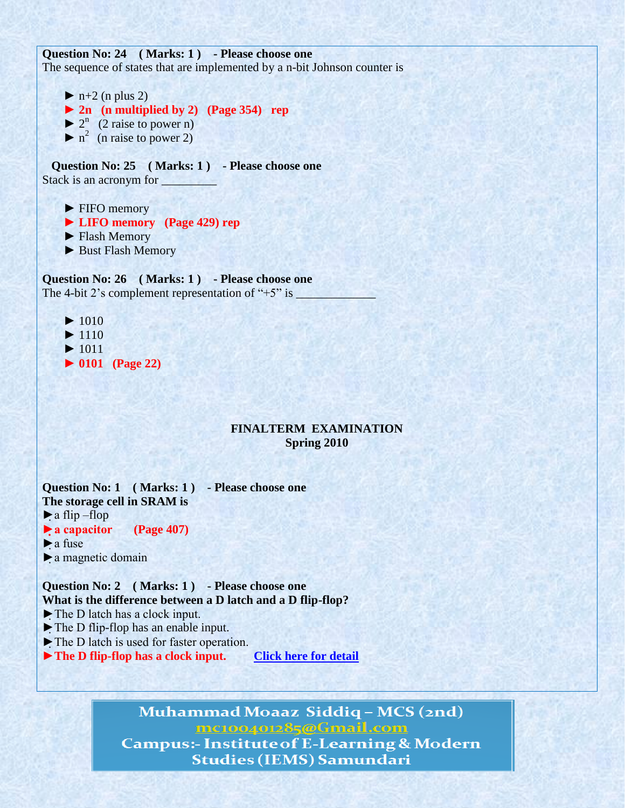**Question No: 24 ( Marks: 1 ) - Please choose one** The sequence of states that are implemented by a n-bit Johnson counter is

 $\blacktriangleright$  n+2 (n plus 2)  **► 2n (n multiplied by 2) (Page 354) rep**  $\blacktriangleright$  2<sup>n</sup> (2 raise to power n)  $\triangleright$  n<sup>2</sup> (n raise to power 2)

 **Question No: 25 ( Marks: 1 ) - Please choose one** Stack is an acronym for

- ► FIFO memory
- **► LIFO memory (Page 429) rep**
- ► Flash Memory
- ► Bust Flash Memory

**Question No: 26 ( Marks: 1 ) - Please choose one** The 4-bit 2's complement representation of " $+5$ " is

- $\blacktriangleright$  1010
- $\blacktriangleright$  1110
- ► 1011  **► 0101 (Page 22)**
- **FINALTERM EXAMINATION**

**Spring 2010**

**Question No: 1 ( Marks: 1 ) - Please choose one The storage cell in SRAM is**  $\blacktriangleright$  a flip –flop **►a capacitor (Page 407)**  $\blacktriangleright$  a fuse ►a magnetic domain

**Question No: 2 ( Marks: 1 ) - Please choose one What is the difference between a D latch and a D flip-flop?**

- ►The D latch has a clock input.
- ►The D flip-flop has an enable input.
- ►The D latch is used for faster operation.

► The D flip-flop has a clock input. *[Click here for detail](http://wps.prenhall.com/chet_floyd_soedigital_1/20/5182/1326609.cw/index.html)*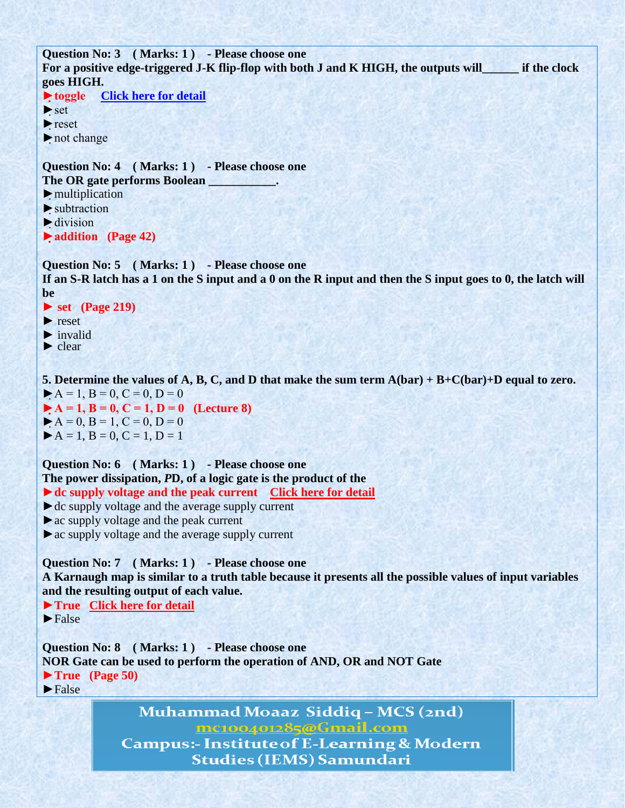```
Question No: 3 ( Marks: 1 ) - Please choose one
For a positive edge-triggered J-K flip-flop with both J and K HIGH, the outputs will______ if the clock 
goes HIGH.
►toggle Click here for detail
►set
►reset
►not change
Question No: 4 ( Marks: 1 ) - Please choose one
The OR gate performs Boolean ___________.
\blacktriangleright multiplication
► subtraction
\blacktriangleright division
►addition (Page 42)
Question No: 5 ( Marks: 1 ) - Please choose one
```
**If an S-R latch has a 1 on the S input and a 0 on the R input and then the S input goes to 0, the latch will be**

**► set (Page 219)**

► reset

 $\blacktriangleright$  invalid

► clear

**5. Determine the values of A, B, C, and D that make the sum term A(bar) + B+C(bar)+D equal to zero.**  $\blacktriangleright$  A = 1, B = 0, C = 0, D = 0  $\blacktriangleright$  A = 1, B = 0, C = 1, D = 0 (Lecture 8)  $\blacktriangleright$  A = 0, B = 1, C = 0, D = 0  $\blacktriangleright$  A = 1, B = 0, C = 1, D = 1

**Question No: 6 ( Marks: 1 ) - Please choose one The power dissipation,** *P***D, of a logic gate is the product of the** ► **dc supply voltage and the peak current** [Click here for detail](http://www.diodes.com/datasheets/ZXBM1015.pdf)

 $\blacktriangleright$  dc supply voltage and the average supply current

►ac supply voltage and the peak current

 $\triangleright$  ac supply voltage and the average supply current

**Question No: 7 ( Marks: 1 ) - Please choose one A Karnaugh map is similar to a truth table because it presents all the possible values of input variables and the resulting output of each value.**

**►True [Click here for detail](http://www.uotechnology.edu.iq/dep-eee/lectures/1st/Digital%20techniques/part2.pdf)**  $\blacktriangleright$  False

**Question No: 8 ( Marks: 1 ) - Please choose one NOR Gate can be used to perform the operation of AND, OR and NOT Gate ►True (Page 50)**  $\blacktriangleright$  False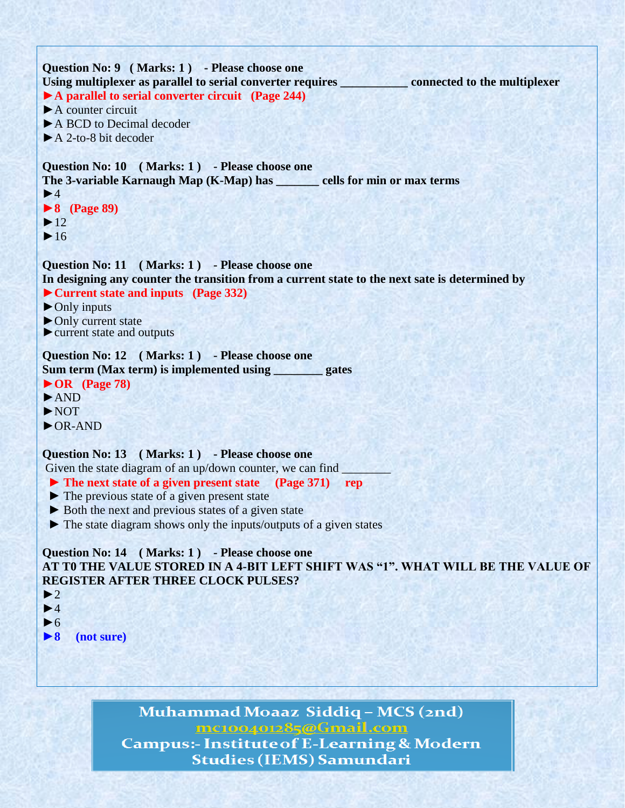

►**8 (not sure)**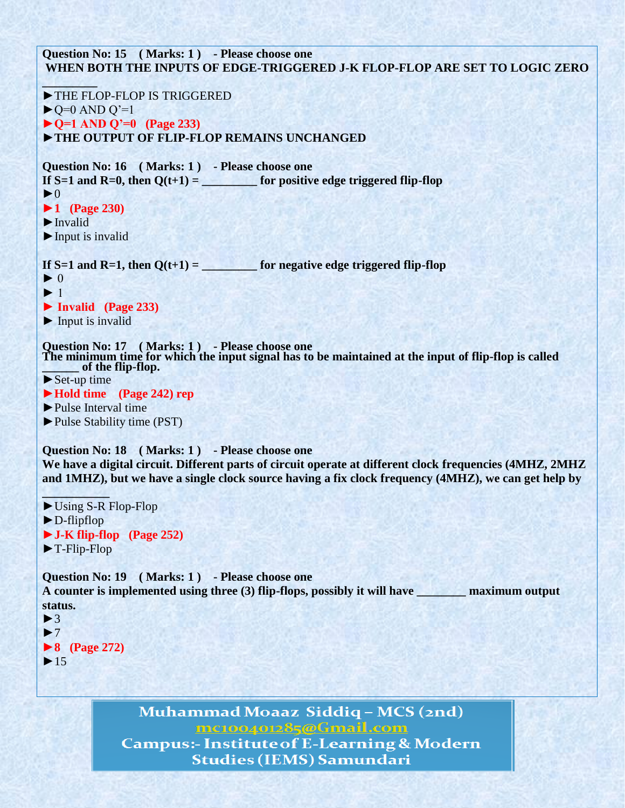**Question No: 15 ( Marks: 1 ) - Please choose one WHEN BOTH THE INPUTS OF EDGE-TRIGGERED J-K FLOP-FLOP ARE SET TO LOGIC ZERO**  $\sim$   $\sim$   $\sim$ ►THE FLOP-FLOP IS TRIGGERED  $\blacktriangleright$  Q=0 AND Q'=1 **►Q=1 AND Q'=0 (Page 233)** ►**THE OUTPUT OF FLIP-FLOP REMAINS UNCHANGED Question No: 16 ( Marks: 1 ) - Please choose one** If  $S=1$  and  $R=0$ , then  $Q(t+1) =$  for positive edge triggered flip-flop  $\blacktriangleright$  0 **►1 (Page 230)** ►Invalid  $\blacktriangleright$  Input is invalid If  $S=1$  and  $R=1$ , then  $O(t+1) =$  for negative edge triggered flip-flop  $\blacktriangleright$  0  $\blacktriangleright$  1 **► Invalid (Page 233)**  $\blacktriangleright$  Input is invalid **Question No: 17 ( Marks: 1 ) - Please choose one The minimum time for which the input signal has to be maintained at the input of flip-flop is called \_\_\_\_\_\_ of the flip-flop.**  $\blacktriangleright$  Set-up time **►Hold time (Page 242) rep** ►Pulse Interval time ►Pulse Stability time (PST) **Question No: 18 ( Marks: 1 ) - Please choose one We have a digital circuit. Different parts of circuit operate at different clock frequencies (4MHZ, 2MHZ and 1MHZ), but we have a single clock source having a fix clock frequency (4MHZ), we can get help by \_\_\_\_\_\_\_\_\_\_\_** ►Using S-R Flop-Flop ►D-flipflop **►J-K flip-flop (Page 252)** ►T-Flip-Flop **Question No: 19 ( Marks: 1 ) - Please choose one A counter is implemented using three (3) flip-flops, possibly it will have \_\_\_\_\_\_\_\_ maximum output status.**

```
\blacktriangleright3
\blacktriangleright7
►8 (Page 272)
\blacktriangleright 15
```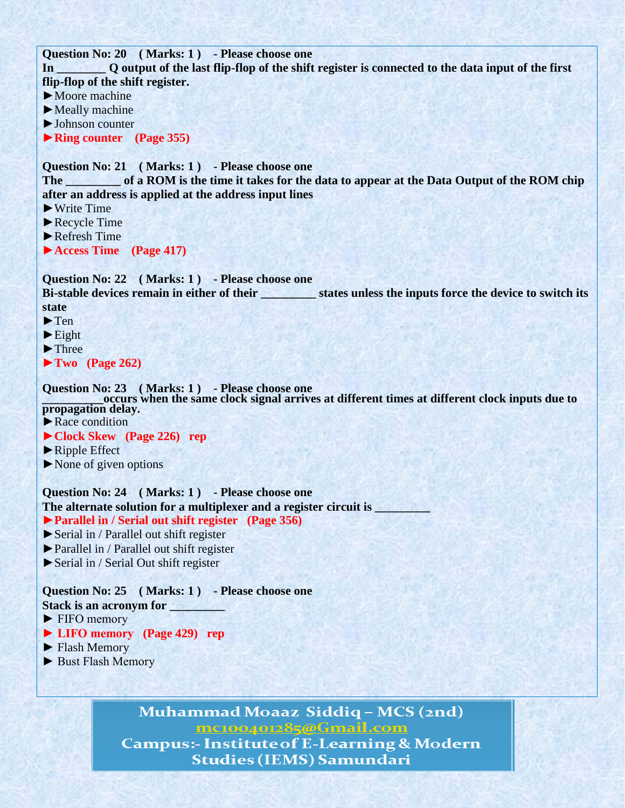**Question No: 20 ( Marks: 1 ) - Please choose one**

**In \_\_\_\_\_\_\_\_ Q output of the last flip-flop of the shift register is connected to the data input of the first flip-flop of the shift register.**

►Moore machine

►Meally machine

►Johnson counter

**►Ring counter (Page 355)**

**Question No: 21 ( Marks: 1 ) - Please choose one The \_\_\_\_\_\_\_\_\_ of a ROM is the time it takes for the data to appear at the Data Output of the ROM chip after an address is applied at the address input lines**

►Write Time

►Recycle Time

 $\blacktriangleright$  Refresh Time

**►Access Time (Page 417)**

**Question No: 22 ( Marks: 1 ) - Please choose one**

**Bi-stable devices remain in either of their \_\_\_\_\_\_\_\_\_ states unless the inputs force the device to switch its state**

►Ten

 $\blacktriangleright$  Eight

►Three

►**Two (Page 262)**

**Question No: 23 ( Marks: 1 ) - Please choose one**

**\_\_\_\_\_\_\_\_\_\_occurs when the same clock signal arrives at different times at different clock inputs due to propagation delay.**

▶Race condition

- **►Clock Skew (Page 226) rep**
- ► Ripple Effect

►None of given options

**Question No: 24 ( Marks: 1 ) - Please choose one The alternate solution for a multiplexer and a register circuit is \_\_\_\_\_\_\_\_\_**

## ►**Parallel in / Serial out shift register (Page 356)**

►Serial in / Parallel out shift register

- ►Parallel in / Parallel out shift register
- ►Serial in / Serial Out shift register

## **Question No: 25 ( Marks: 1 ) - Please choose one**

- **Stack is an acronym for \_\_\_\_\_\_\_\_\_**
- ► FIFO memory
- **► LIFO memory (Page 429) rep**
- ► Flash Memory
- ► Bust Flash Memory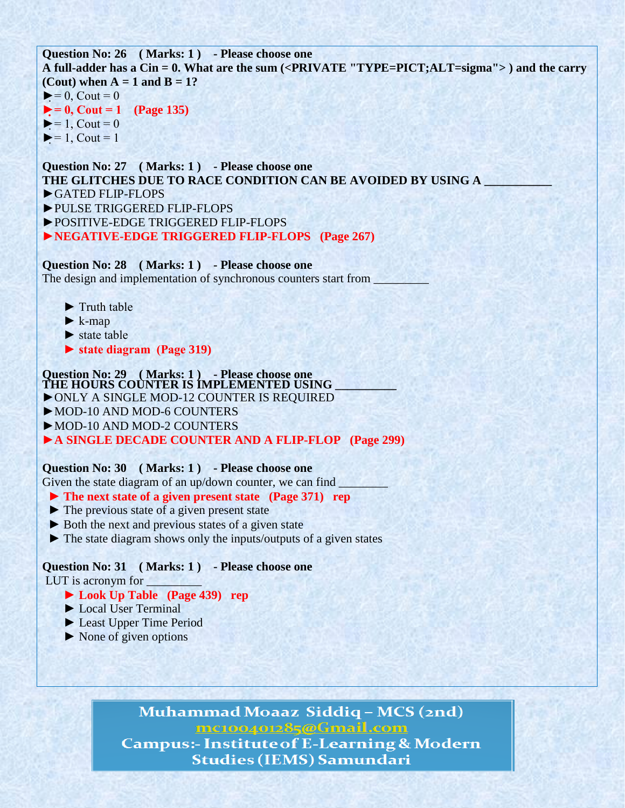**Question No: 26 ( Marks: 1 ) - Please choose one A full-adder has a Cin = 0. What are the sum (<PRIVATE "TYPE=PICT;ALT=sigma"> ) and the carry (Cout) when**  $A = 1$  **and**  $B = 1$ **?**  $\blacktriangleright$  = 0, Cout = 0  $\blacktriangleright$  = 0, Cout = 1 (Page 135)  $\blacktriangleright$  = 1, Cout = 0  $\blacktriangleright$  = 1, Cout = 1

**Question No: 27 ( Marks: 1 ) - Please choose one THE GLITCHES DUE TO RACE CONDITION CAN BE AVOIDED BY USING A \_\_\_\_\_\_\_\_\_\_\_** ►GATED FLIP-FLOPS ►PULSE TRIGGERED FLIP-FLOPS ►POSITIVE-EDGE TRIGGERED FLIP-FLOPS

**►NEGATIVE-EDGE TRIGGERED FLIP-FLOPS (Page 267)**

**Question No: 28 ( Marks: 1 ) - Please choose one** The design and implementation of synchronous counters start from

- ► Truth table
- $\blacktriangleright$  k-map
- ► state table
- **► state diagram (Page 319)**

**Question No: 29 ( Marks: 1 ) - Please choose one THE HOURS COUNTER IS IMPLEMENTED USING \_\_\_\_\_\_\_\_\_\_**

►ONLY A SINGLE MOD-12 COUNTER IS REQUIRED

►MOD-10 AND MOD-6 COUNTERS

►MOD-10 AND MOD-2 COUNTERS

**►A SINGLE DECADE COUNTER AND A FLIP-FLOP (Page 299)**

## **Question No: 30 ( Marks: 1 ) - Please choose one**

Given the state diagram of an up/down counter, we can find

- **► The next state of a given present state (Page 371) rep**
- ► The previous state of a given present state
- ► Both the next and previous states of a given state
- ► The state diagram shows only the inputs/outputs of a given states

## **Question No: 31 ( Marks: 1 ) - Please choose one**

LUT is acronym for \_\_\_\_\_\_\_\_\_

- **► Look Up Table (Page 439) rep**
- ► Local User Terminal
- ► Least Upper Time Period
- ► None of given options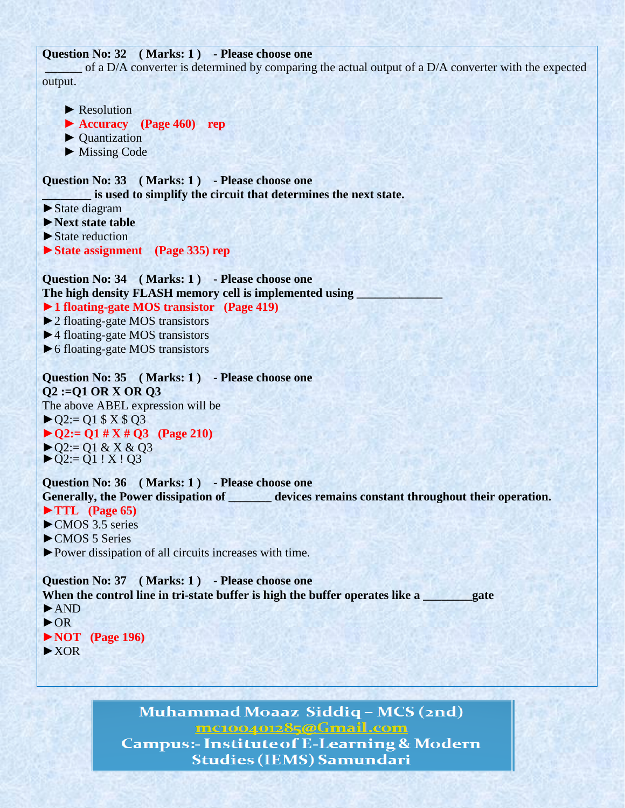## **Question No: 32 ( Marks: 1 ) - Please choose one**

of a D/A converter is determined by comparing the actual output of a D/A converter with the expected output.

▶ Resolution **► Accuracy (Page 460) rep** ► Quantization ► Missing Code **Question No: 33 ( Marks: 1 ) - Please choose one \_\_\_\_\_\_\_\_ is used to simplify the circuit that determines the next state.** ►State diagram **►Next state table**  $\blacktriangleright$  State reduction **►State assignment (Page 335) rep Question No: 34 ( Marks: 1 ) - Please choose one** The high density FLASH memory cell is implemented using **►1 floating-gate MOS transistor (Page 419)** ►2 floating-gate MOS transistors ►4 floating-gate MOS transistors ►6 floating-gate MOS transistors **Question No: 35 ( Marks: 1 ) - Please choose one Q2 :=Q1 OR X OR Q3** The above ABEL expression will be  $\blacktriangleright$  Q2:= Q1 \$ X \$ Q3 ►**Q2:= Q1 # X # Q3 (Page 210)**  $\triangleright$  Q2:= Q1 & X & Q3  $\blacktriangleright$ Q2:= Q1 ! X ! Q3 **Question No: 36 ( Marks: 1 ) - Please choose one Generally, the Power dissipation of \_\_\_\_\_\_\_ devices remains constant throughout their operation. ►TTL (Page 65)**  $\triangleright$  CMOS 3.5 series ►CMOS 5 Series ►Power dissipation of all circuits increases with time. **Question No: 37 ( Marks: 1 ) - Please choose one** When the control line in tri-state buffer is high the buffer operates like a **whenever** gate ►AND ►OR **►NOT (Page 196)** ►XOR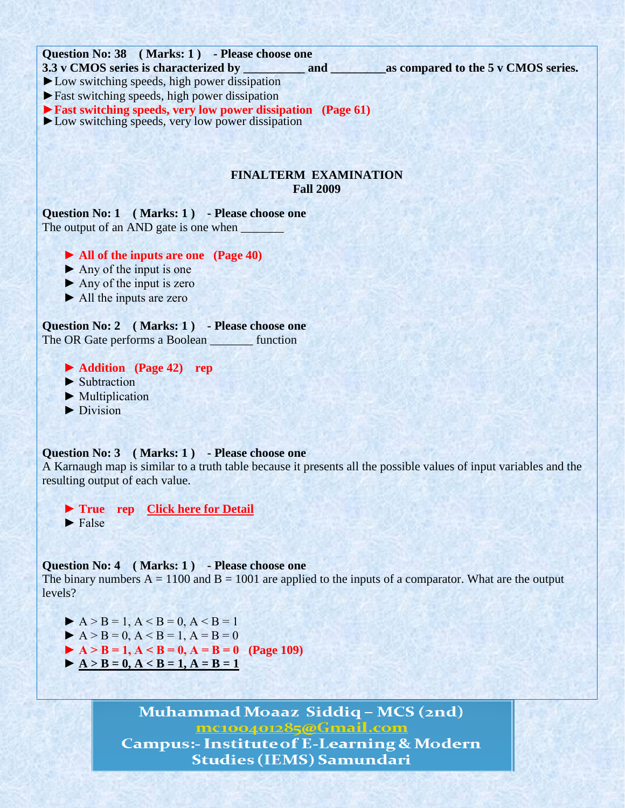

#### **Question No: 3 ( Marks: 1 ) - Please choose one**

A Karnaugh map is similar to a truth table because it presents all the possible values of input variables and the resulting output of each value.

 ► **True rep [Click here for Detail](http://www.uotechnology.edu.iq/dep-eee/lectures/1st/Digital%20techniques/part2.pdf)**  $\blacktriangleright$  False

#### **Question No: 4 ( Marks: 1 ) - Please choose one**

The binary numbers  $A = 1100$  and  $B = 1001$  are applied to the inputs of a comparator. What are the output levels?

- $A > B = 1, A < B = 0, A < B = 1$
- $A > B = 0, A < B = 1, A = B = 0$
- $\blacktriangleright$  A > B = 1, A < B = 0, A = B = 0 (Page 109)
- $\blacktriangleright$  A > B = 0, A < B = 1, A = B = 1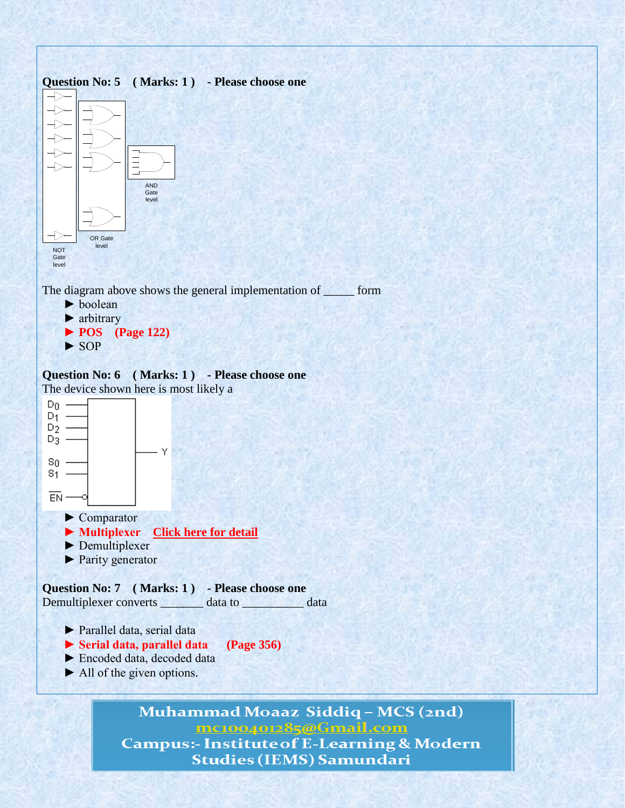

The diagram above shows the general implementation of \_\_\_\_\_ form

 ► boolean ► arbitrary ► **POS (Page 122)** ► SOP

**Question No: 6 ( Marks: 1 ) - Please choose one** The device shown here is most likely a



- ► Parallel data, serial data
- **► Serial data, parallel data (Page 356)**
- ► Encoded data, decoded data
- $\blacktriangleright$  All of the given options.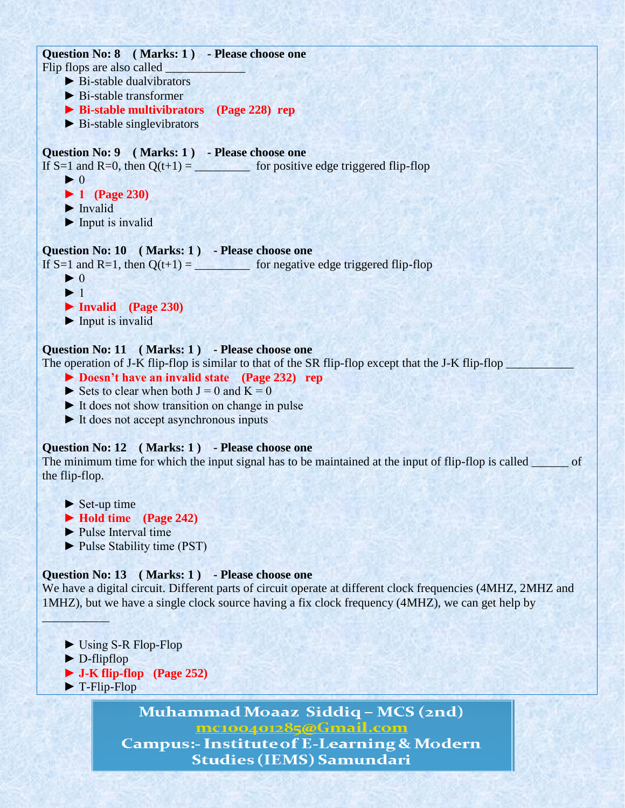**Question No: 8 ( Marks: 1 ) - Please choose one** Flip flops are also called ► Bi-stable dualvibrators  $\blacktriangleright$  Bi-stable transformer **► Bi-stable multivibrators (Page 228) rep** ► Bi-stable singlevibrators **Question No: 9 ( Marks: 1 ) - Please choose one** If S=1 and R=0, then  $Q(t+1) =$  for positive edge triggered flip-flop  $\blacktriangleright$  0  **► 1 (Page 230)** ► Invalid  $\blacktriangleright$  Input is invalid **Question No: 10 ( Marks: 1 ) - Please choose one** If S=1 and R=1, then  $Q(t+1) =$  for negative edge triggered flip-flop  $\blacktriangleright$  0  $\blacktriangleright$  1 ► **Invalid (Page 230)**  $\blacktriangleright$  Input is invalid **Question No: 11 ( Marks: 1 ) - Please choose one** The operation of J-K flip-flop is similar to that of the SR flip-flop except that the J-K flip-flop  **► Doesn't have an invalid state (Page 232) rep**  $\triangleright$  Sets to clear when both J = 0 and K = 0  $\triangleright$  It does not show transition on change in pulse ► It does not accept asynchronous inputs

## **Question No: 12 ( Marks: 1 ) - Please choose one**

The minimum time for which the input signal has to be maintained at the input of flip-flop is called of the flip-flop.

- $\blacktriangleright$  Set-up time
- **► Hold time (Page 242)**
- ► Pulse Interval time
- ► Pulse Stability time (PST)

## **Question No: 13 ( Marks: 1 ) - Please choose one**

We have a digital circuit. Different parts of circuit operate at different clock frequencies (4MHZ, 2MHZ and 1MHZ), but we have a single clock source having a fix clock frequency (4MHZ), we can get help by

- ► Using S-R Flop-Flop
- ► D-flipflop

 $\Box$   $\Box$ 

- **► J-K flip-flop (Page 252)**
- ► T-Flip-Flop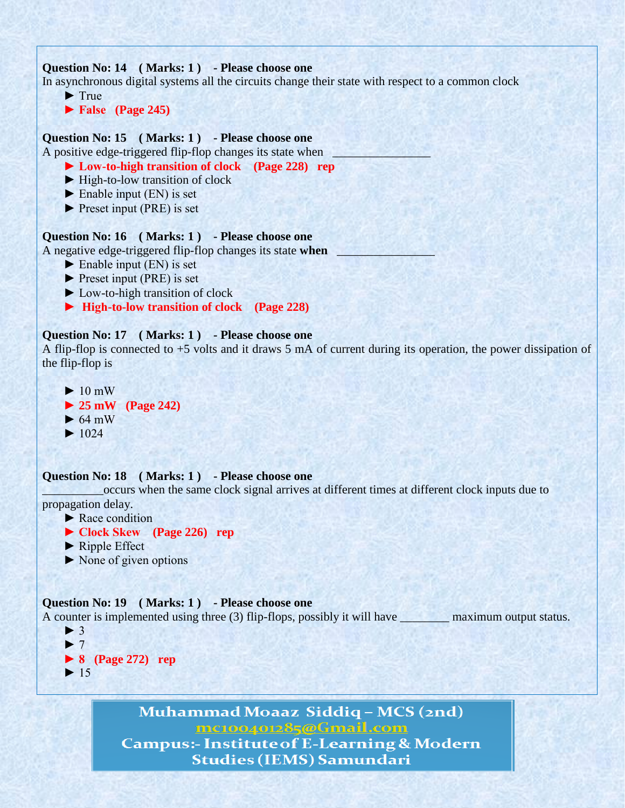

```
\blacktriangleright 1024
```
**Question No: 18 ( Marks: 1 ) - Please choose one**

\_\_\_\_\_\_\_\_\_\_occurs when the same clock signal arrives at different times at different clock inputs due to propagation delay.

- $\blacktriangleright$  Race condition
- **► Clock Skew (Page 226) rep**
- ► Ripple Effect
- ► None of given options

```
Question No: 19 ( Marks: 1 ) - Please choose one
```
A counter is implemented using three (3) flip-flops, possibly it will have \_\_\_\_\_\_\_\_\_\_ maximum output status. ► 3

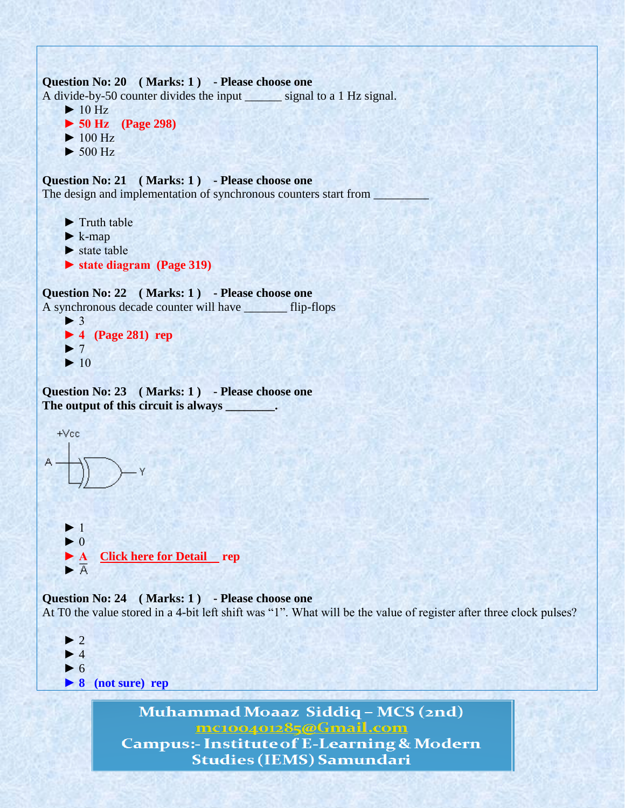```
Question No: 20 (Marks: 1) - Please choose one
A divide-by-50 counter divides the input signal to a 1 Hz signal.
     \blacktriangleright 10 Hz
      ► 50 Hz (Page 298) 
     \blacktriangleright 100 Hz
     \blacktriangleright 500 Hz
Question No: 21 ( Marks: 1 ) - Please choose one
The design and implementation of synchronous counters start from ________________
```
- ► Truth table
- $\blacktriangleright$  k-map
- ► state table
- **► state diagram (Page 319)**

```
Question No: 22 ( Marks: 1 ) - Please choose one
A synchronous decade counter will have _______ flip-flops
```

```
\blacktriangleright 3
 ► 4 (Page 281) rep
\blacktriangleright 7
\blacktriangleright 10
```
Question No: 23 (Marks: 1) - Please choose one **The output of this circuit is always \_\_\_\_\_\_\_\_.** 

```
+Vec ► 1
  \blacktriangleright 0
   ► A Click here for Detail rep
  \blacktriangleright A
```
**Question No: 24 ( Marks: 1 ) - Please choose one** At T0 the value stored in a 4-bit left shift was "1". What will be the value of register after three clock pulses?

```
\blacktriangleright 2
\blacktriangleright 4
\blacktriangleright 6
 ► 8 (not sure) rep
```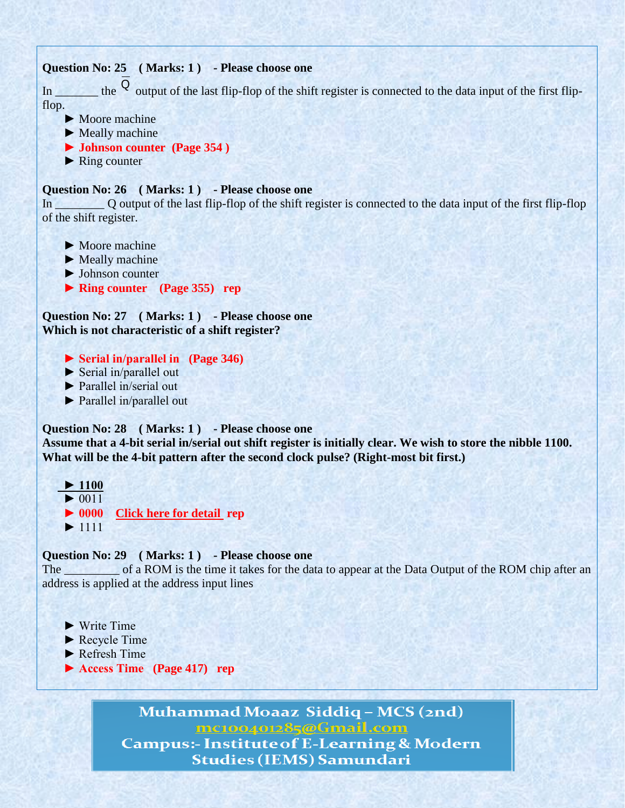

**Which is not characteristic of a shift register?**

- **► Serial in/parallel in (Page 346)**
- ► Serial in/parallel out
- ► Parallel in/serial out
- ► Parallel in/parallel out

#### **Question No: 28 ( Marks: 1 ) - Please choose one**

**Assume that a 4-bit serial in/serial out shift register is initially clear. We wish to store the nibble 1100. What will be the 4-bit pattern after the second clock pulse? (Right-most bit first.)**

 **► 1100**  $\blacktriangleright$  0011  **► 0000 [Click here for detail](http://wps.prenhall.com/chet_floyd_digitalfun_8/6/1642/420373.cw/index.html) rep**  $\blacktriangleright$  1111

## **Question No: 29 ( Marks: 1 ) - Please choose one**

The of a ROM is the time it takes for the data to appear at the Data Output of the ROM chip after an address is applied at the address input lines

- $\blacktriangleright$  Write Time
- ► Recycle Time
- ► Refresh Time
- **► Access Time (Page 417) rep**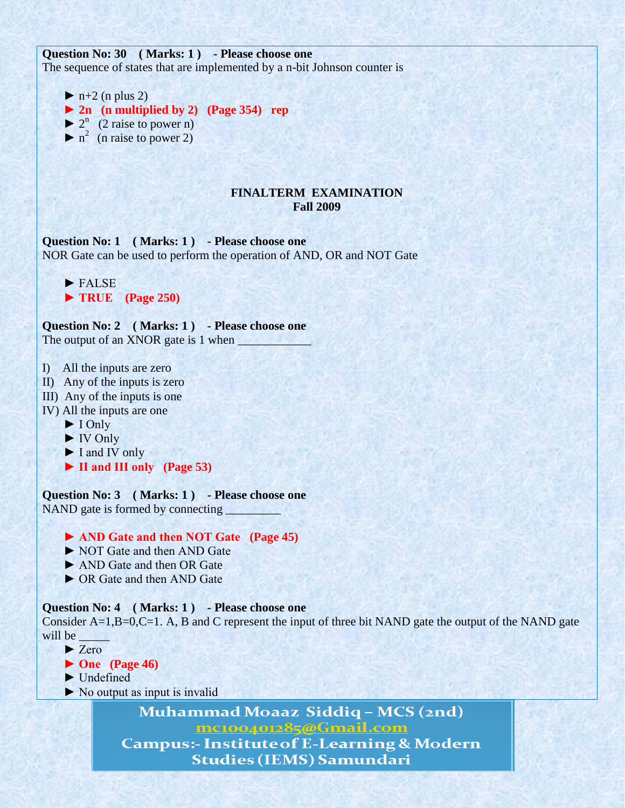**Question No: 30 ( Marks: 1 ) - Please choose one** The sequence of states that are implemented by a n-bit Johnson counter is

 $\blacktriangleright$  n+2 (n plus 2)



- $\blacktriangleright$  2<sup>n</sup> (2 raise to power n)
- $\triangleright$  n<sup>2</sup> (n raise to power 2)

## **FINALTERM EXAMINATION Fall 2009**

**Question No: 1 ( Marks: 1 ) - Please choose one** NOR Gate can be used to perform the operation of AND, OR and NOT Gate

 ► FALSE  **► TRUE (Page 250)**

**Question No: 2 ( Marks: 1 ) - Please choose one** The output of an XNOR gate is 1 when

- I) All the inputs are zero
- II) Any of the inputs is zero
- III) Any of the inputs is one
- IV) All the inputs are one
	- ► I Only
	- ► IV Only
	- ► I and IV only
	- **► II and III only (Page 53)**

**Question No: 3 ( Marks: 1 ) - Please choose one** NAND gate is formed by connecting

 **► AND Gate and then NOT Gate (Page 45)**

- ► NOT Gate and then AND Gate
- ► AND Gate and then OR Gate
- ► OR Gate and then AND Gate

**Question No: 4 ( Marks: 1 ) - Please choose one**

Consider A=1,B=0,C=1. A, B and C represent the input of three bit NAND gate the output of the NAND gate will be

- ► Zero
- **► One (Page 46)**
- ► Undefined
- ► No output as input is invalid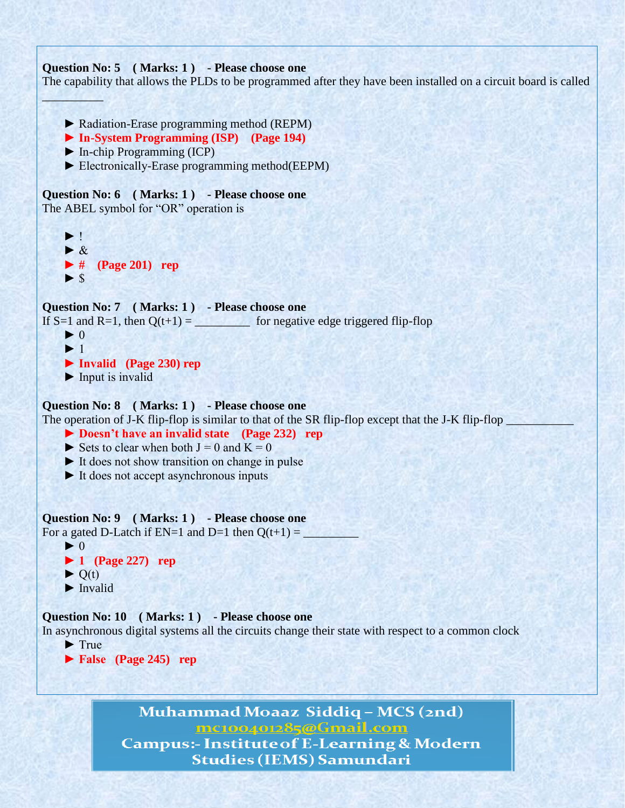```
Question No: 5 ( Marks: 1 ) - Please choose one
The capability that allows the PLDs to be programmed after they have been installed on a circuit board is called 
\mathcal{L} = \{ \mathcal{L}_1, \mathcal{L}_2, \mathcal{L}_3, \mathcal{L}_4, \mathcal{L}_5, \mathcal{L}_6, \mathcal{L}_7, \mathcal{L}_8, \mathcal{L}_9, \mathcal{L}_9, \mathcal{L}_1, \mathcal{L}_2, \mathcal{L}_3, \mathcal{L}_1, \mathcal{L}_2, \mathcal{L}_3, \mathcal{L}_1, \mathcal{L}_2, \mathcal{L}_3, \mathcal{L}_4, \mathcal{L}_5, \mathcal{L}_6, \mathcal{L}_7, \mathcal{L}_8, \mathcal{L}_9, \mathcal{L}_9, \mathcal ► Radiation-Erase programming method (REPM)
       ► In-System Programming (ISP) (Page 194)
       ► In-chip Programming (ICP)
       ► Electronically-Erase programming method(EEPM)
Question No: 6 ( Marks: 1 ) - Please choose one
The ABEL symbol for "OR" operation is 
      \blacktriangleright !
      \blacktriangleright &
       ► # (Page 201) rep
      \blacktriangleright s
Question No: 7 ( Marks: 1 ) - Please choose one
If S=1 and R=1, then Q(t+1) = for negative edge triggered flip-flop
      \blacktriangleright 0
      \blacktriangleright 1
       ► Invalid (Page 230) rep
      \blacktriangleright Input is invalid
Question No: 8 ( Marks: 1 ) - Please choose one
The operation of J-K flip-flop is similar to that of the SR flip-flop except that the J-K flip-flop _
       ► Doesn't have an invalid state (Page 232) rep
      \triangleright Sets to clear when both J = 0 and K = 0 ► It does not show transition on change in pulse
       ► It does not accept asynchronous inputs
Question No: 9 ( Marks: 1 ) - Please choose one
For a gated D-Latch if EN=1 and D=1 then Q(t+1) =\blacktriangleright 0
       ► 1 (Page 227) rep
      \triangleright O(t)
       ► Invalid
Question No: 10 ( Marks: 1 ) - Please choose one
In asynchronous digital systems all the circuits change their state with respect to a common clock
      \blacktriangleright True
       ► False (Page 245) rep
```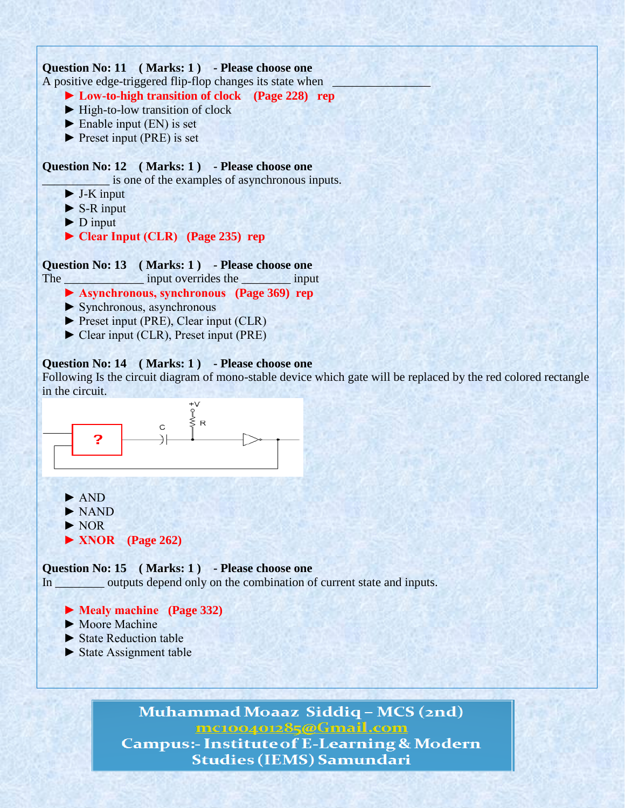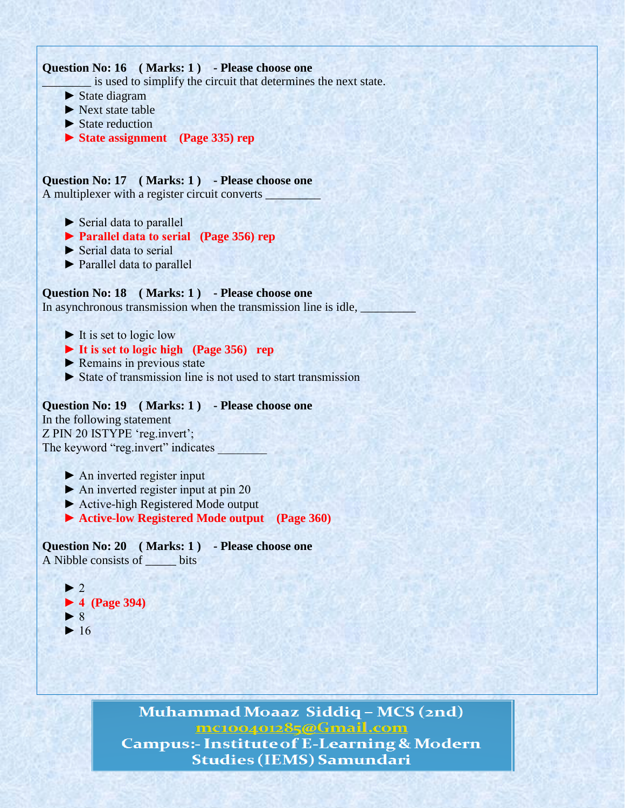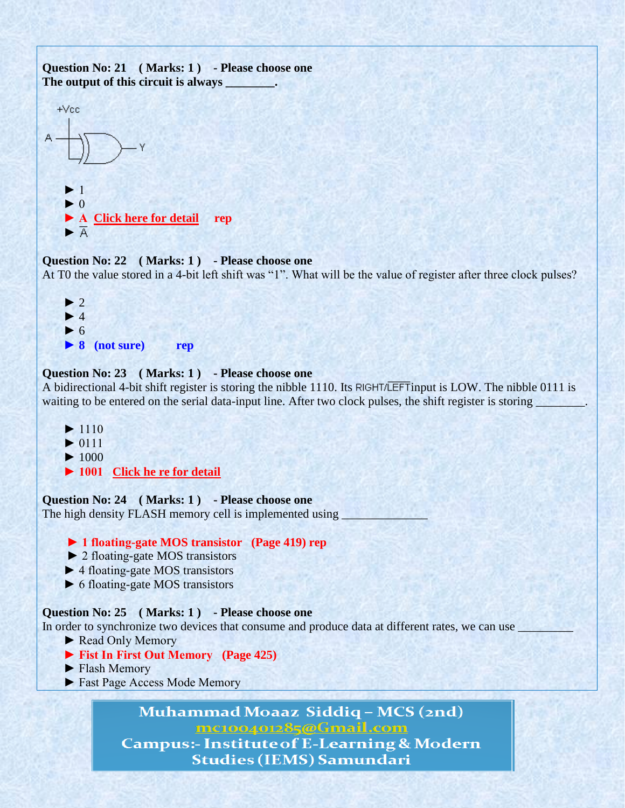

## **Question No: 22 ( Marks: 1 ) - Please choose one**

At T0 the value stored in a 4-bit left shift was "1". What will be the value of register after three clock pulses?



## **Question No: 23 ( Marks: 1 ) - Please choose one**

A bidirectional 4-bit shift register is storing the nibble 1110. Its RIGHT/LEFT input is LOW. The nibble 0111 is waiting to be entered on the serial data-input line. After two clock pulses, the shift register is storing \_\_\_\_\_\_\_\_.

 $\blacktriangleright$  $\blacktriangleright$  $\blacktriangleright$  **► 1001 [Click he re for detail](http://wps.prenhall.com/chet_floyd_digitalfun_8/6/1642/420373.cw/index.html)**

## **Question No: 24 ( Marks: 1 ) - Please choose one**

The high density FLASH memory cell is implemented using

## **► 1 floating-gate MOS transistor (Page 419) rep**

- ► 2 floating-gate MOS transistors
- ► 4 floating-gate MOS transistors
- ► 6 floating-gate MOS transistors

## **Question No: 25 ( Marks: 1 ) - Please choose one**

In order to synchronize two devices that consume and produce data at different rates, we can use

- ► Read Only Memory
- **► Fist In First Out Memory (Page 425)**
- ► Flash Memory
- ► Fast Page Access Mode Memory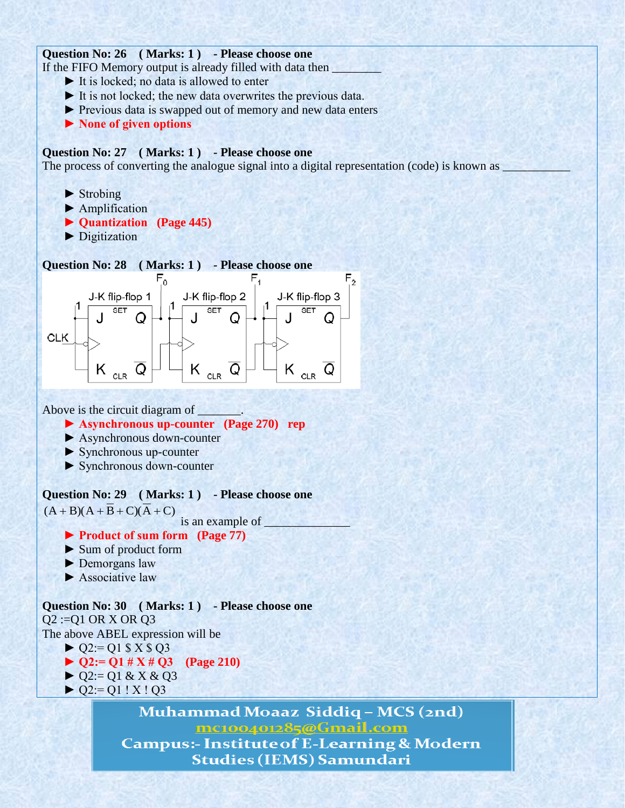## **Question No: 26 ( Marks: 1 ) - Please choose one**

If the FIFO Memory output is already filled with data then

- ► It is locked; no data is allowed to enter
- ► It is not locked; the new data overwrites the previous data.
- ► Previous data is swapped out of memory and new data enters
- **► None of given options**

## **Question No: 27 ( Marks: 1 ) - Please choose one**

The process of converting the analogue signal into a digital representation (code) is known as

- $\blacktriangleright$  Strobing
- ▶ Amplification
- **► Quantization (Page 445)**
- ► Digitization

## **Question No: 28 ( Marks: 1 ) - Please choose one**



Above is the circuit diagram of \_\_\_\_\_\_\_.

#### **► Asynchronous up-counter (Page 270) rep**

- ► Asynchronous down-counter
- ► Synchronous up-counter
- ► Synchronous down-counter

**Question No: 29 ( Marks: 1 ) - Please choose one**

 $(A + B)(A + B + C)(A + C)$ 

is an example of \_\_\_\_\_\_\_\_\_\_\_\_\_\_

- **► Product of sum form (Page 77)**
- ► Sum of product form
- ► Demorgans law
- ► Associative law

## **Question No: 30 ( Marks: 1 ) - Please choose one**

 $Q2 := Q1$  OR X OR  $Q3$ The above ABEL expression will be

- $\triangleright$  Q2:= Q1 \$ X \$ Q3
- **► Q2:= Q1 # X # Q3 (Page 210)**
- $\triangleright$  Q2:= Q1 & X & Q3
- $\triangleright$  Q2:= Q1 ! X ! Q3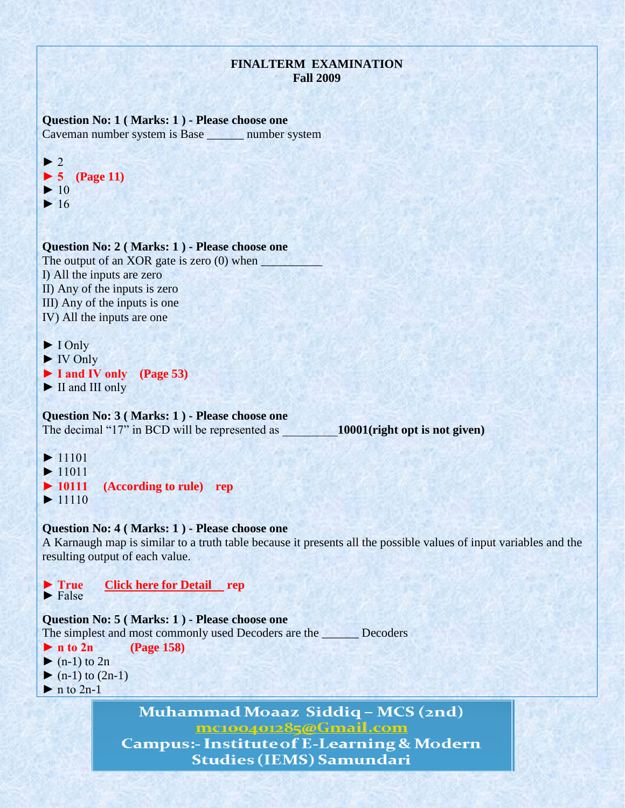## **FINALTERM EXAMINATION Fall 2009**

**Question No: 1 ( Marks: 1 ) - Please choose one** Caveman number system is Base \_\_\_\_\_\_ number system



**Question No: 2 ( Marks: 1 ) - Please choose one** The output of an XOR gate is zero  $(0)$  when I) All the inputs are zero II) Any of the inputs is zero III) Any of the inputs is one IV) All the inputs are one

► I Only

► IV Only

**► I and IV only (Page 53)**

► II and III only

**Question No: 3 ( Marks: 1 ) - Please choose one**

The decimal "17" in BCD will be represented as \_\_\_\_\_\_\_\_\_**10001(right opt is not given)**

 $\blacktriangleright$  $\blacktriangleright$ **► 10111 (According to rule) rep**  $\blacktriangleright$ 

## **Question No: 4 ( Marks: 1 ) - Please choose one**

A Karnaugh map is similar to a truth table because it presents all the possible values of input variables and the resulting output of each value.

**► True [Click here for Detail](http://www.uotechnology.edu.iq/dep-eee/lectures/1st/Digital%20techniques/part2.pdf) rep**  $\blacktriangleright$  False **Question No: 5 ( Marks: 1 ) - Please choose one** The simplest and most commonly used Decoders are the \_\_\_\_\_\_ Decoders **► n to 2n (Page 158)**  $\blacktriangleright$  (n-1) to 2n  $\blacktriangleright$  (n-1) to (2n-1)  $\blacktriangleright$  n to 2n-1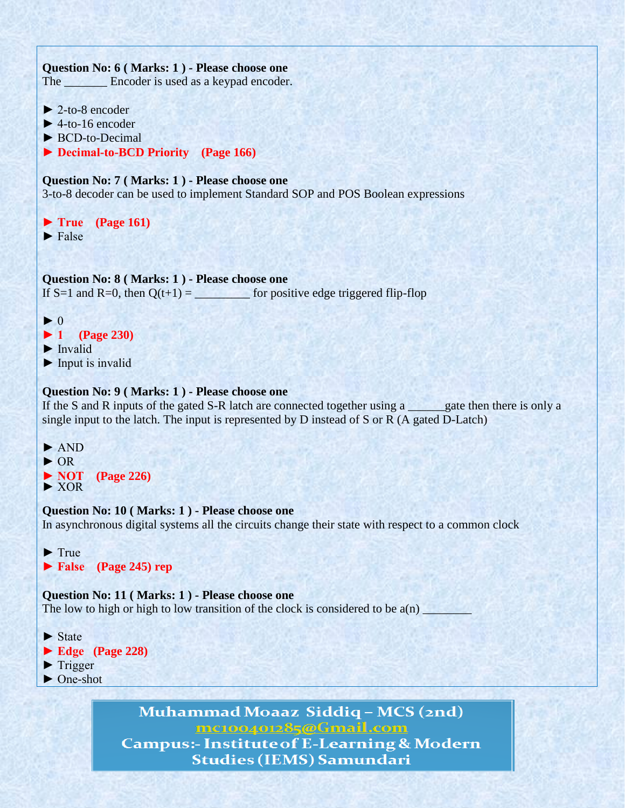## **Question No: 6 ( Marks: 1 ) - Please choose one**

The **Encoder** is used as a keypad encoder.

- $\blacktriangleright$  2-to-8 encoder
- $\blacktriangleright$  4-to-16 encoder
- ► BCD-to-Decimal
- **► Decimal-to-BCD Priority (Page 166)**

## **Question No: 7 ( Marks: 1 ) - Please choose one**

3-to-8 decoder can be used to implement Standard SOP and POS Boolean expressions

**► True (Page 161)** ► False

## **Question No: 8 ( Marks: 1 ) - Please choose one**

If S=1 and R=0, then  $Q(t+1)$  = for positive edge triggered flip-flop

- $\blacktriangleright$  0
- **► 1 (Page 230)**
- ► Invalid
- ► Input is invalid

## **Question No: 9 ( Marks: 1 ) - Please choose one**

If the S and R inputs of the gated S-R latch are connected together using a same gate then there is only a single input to the latch. The input is represented by D instead of S or R (A gated D-Latch)

- ► AND
- ► OR
- **► NOT (Page 226)**
- ► XOR

## **Question No: 10 ( Marks: 1 ) - Please choose one**

In asynchronous digital systems all the circuits change their state with respect to a common clock

► True

**► False (Page 245) rep**

## **Question No: 11 ( Marks: 1 ) - Please choose one**

The low to high or high to low transition of the clock is considered to be  $a(n)$ 

- $\blacktriangleright$  State
- **► Edge (Page 228)**
- ► Trigger
- ► One-shot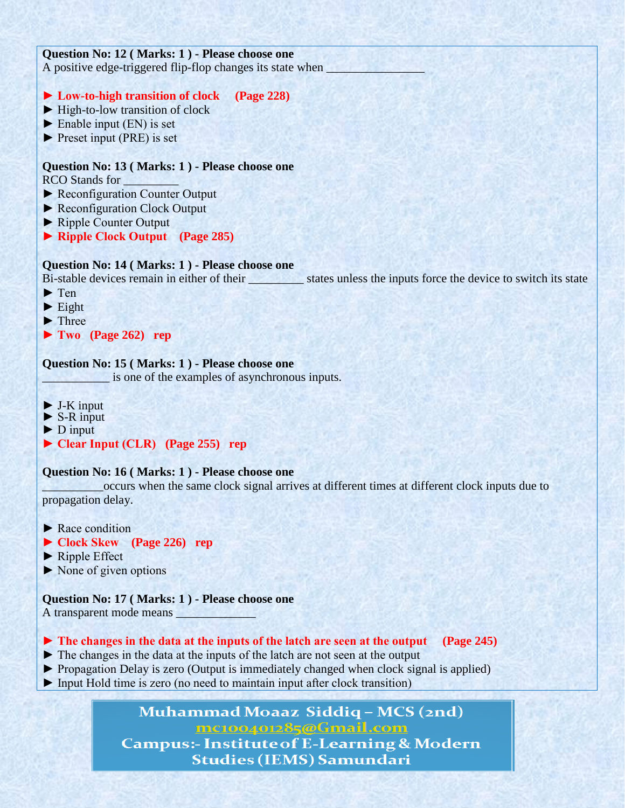## **Question No: 12 ( Marks: 1 ) - Please choose one**

A positive edge-triggered flip-flop changes its state when

## **► Low-to-high transition of clock (Page 228)**

- ► High-to-low transition of clock
- $\blacktriangleright$  Enable input (EN) is set
- ► Preset input (PRE) is set

## **Question No: 13 ( Marks: 1 ) - Please choose one**

RCO Stands for

- ► Reconfiguration Counter Output
- ► Reconfiguration Clock Output
- ► Ripple Counter Output
- **► Ripple Clock Output (Page 285)**

## **Question No: 14 ( Marks: 1 ) - Please choose one**

Bi-stable devices remain in either of their states unless the inputs force the device to switch its state

- ► Ten
- $\blacktriangleright$  Eight
- ► Three
- **► Two (Page 262) rep**

## **Question No: 15 ( Marks: 1 ) - Please choose one**

is one of the examples of asynchronous inputs.

- $\blacktriangleright$  J-K input
- $\triangleright$  S-R input
- ► D input
- **► Clear Input (CLR) (Page 255) rep**

## **Question No: 16 ( Marks: 1 ) - Please choose one**

\_\_\_\_\_\_\_\_\_\_occurs when the same clock signal arrives at different times at different clock inputs due to propagation delay.

- ► Race condition
- **► Clock Skew (Page 226) rep**
- ► Ripple Effect
- $\triangleright$  None of given options

## **Question No: 17 ( Marks: 1 ) - Please choose one**

A transparent mode means

## **► The changes in the data at the inputs of the latch are seen at the output (Page 245)**

- ► The changes in the data at the inputs of the latch are not seen at the output
- ► Propagation Delay is zero (Output is immediately changed when clock signal is applied)
- ► Input Hold time is zero (no need to maintain input after clock transition)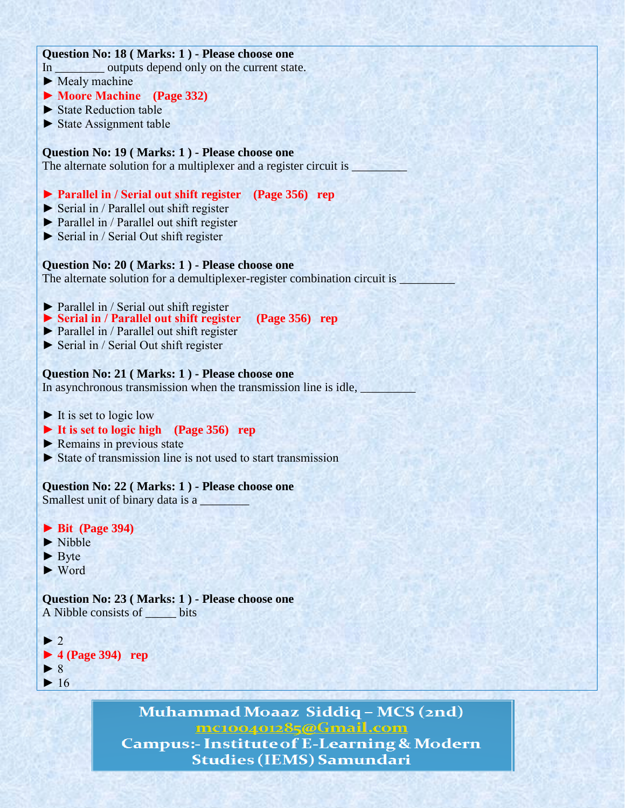## **Question No: 18 ( Marks: 1 ) - Please choose one** In outputs depend only on the current state.  $\blacktriangleright$  Mealy machine **► Moore Machine (Page 332)** ► State Reduction table ► State Assignment table **Question No: 19 ( Marks: 1 ) - Please choose one** The alternate solution for a multiplexer and a register circuit is  $\Box$ **► Parallel in / Serial out shift register (Page 356) rep** ► Serial in / Parallel out shift register ► Parallel in / Parallel out shift register ► Serial in / Serial Out shift register **Question No: 20 ( Marks: 1 ) - Please choose one** The alternate solution for a demultiplexer-register combination circuit is  $\_\_$ ► Parallel in / Serial out shift register **► Serial in / Parallel out shift register (Page 356) rep** ► Parallel in / Parallel out shift register ► Serial in / Serial Out shift register **Question No: 21 ( Marks: 1 ) - Please choose one** In asynchronous transmission when the transmission line is idle,  $\blacktriangleright$  It is set to logic low **► It is set to logic high (Page 356) rep** ► Remains in previous state ► State of transmission line is not used to start transmission **Question No: 22 ( Marks: 1 ) - Please choose one** Smallest unit of binary data is a **► Bit (Page 394)** ► Nibble  $\blacktriangleright$  Byte ► Word **Question No: 23 ( Marks: 1 ) - Please choose one** A Nibble consists of \_\_\_\_\_ bits  $\blacktriangleright$  2 **► 4 (Page 394) rep** ► 8  $\blacktriangleright$  16 Muhammad Moaaz Siddiq - MCS (2nd)

mc100401285@Gmail.com **Campus:- Institute of E-Learning & Modern Studies (IEMS) Samundari**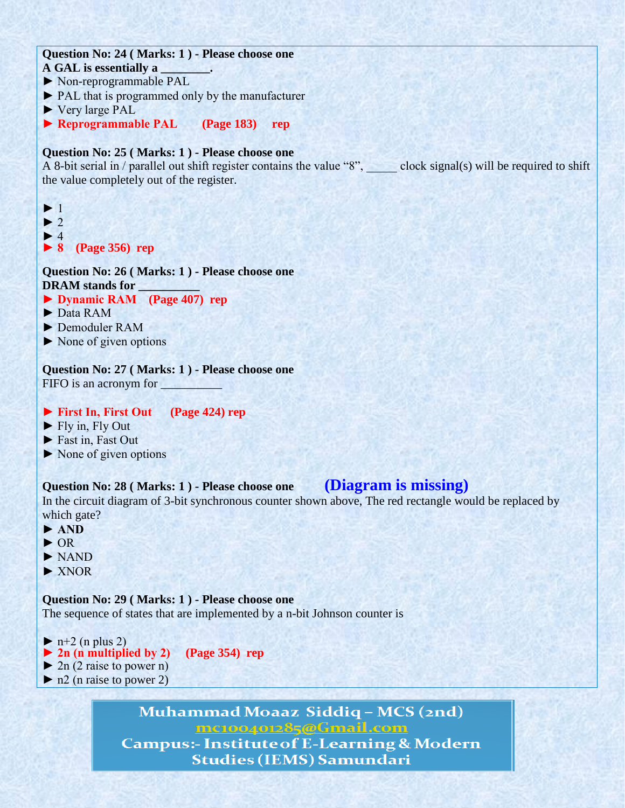## **Question No: 24 ( Marks: 1 ) - Please choose one**

- **A GAL is essentially a \_\_\_\_\_\_\_\_.**
- ► Non-reprogrammable PAL
- ► PAL that is programmed only by the manufacturer
- ► Very large PAL
- **► Reprogrammable PAL (Page 183) rep**

## **Question No: 25 ( Marks: 1 ) - Please choose one**

A 8-bit serial in / parallel out shift register contains the value "8", clock signal(s) will be required to shift the value completely out of the register.

► 1  $\blacktriangleright$  2  $\blacktriangleright$  4 **► 8 (Page 356) rep**

**Question No: 26 ( Marks: 1 ) - Please choose one DRAM stands for \_\_\_\_\_\_\_\_\_\_**

- **► Dynamic RAM (Page 407) rep**
- ► Data RAM
- ► Demoduler RAM
- ► None of given options

**Question No: 27 ( Marks: 1 ) - Please choose one** FIFO is an acronym for

## **► First In, First Out (Page 424) rep**

- $\blacktriangleright$  Fly in, Fly Out
- ► Fast in, Fast Out
- ► None of given options

## **Question No: 28 ( Marks: 1 ) - Please choose one (Diagram is missing)**

In the circuit diagram of 3-bit synchronous counter shown above, The red rectangle would be replaced by which gate?

- **► AND**
- ► OR
- ► NAND
- ► XNOR

**Question No: 29 ( Marks: 1 ) - Please choose one**

The sequence of states that are implemented by a n-bit Johnson counter is

- $\blacktriangleright$  n+2 (n plus 2)
- **► 2n (n multiplied by 2) (Page 354) rep**
- $\triangleright$  2n (2 raise to power n)
- $\triangleright$  n2 (n raise to power 2)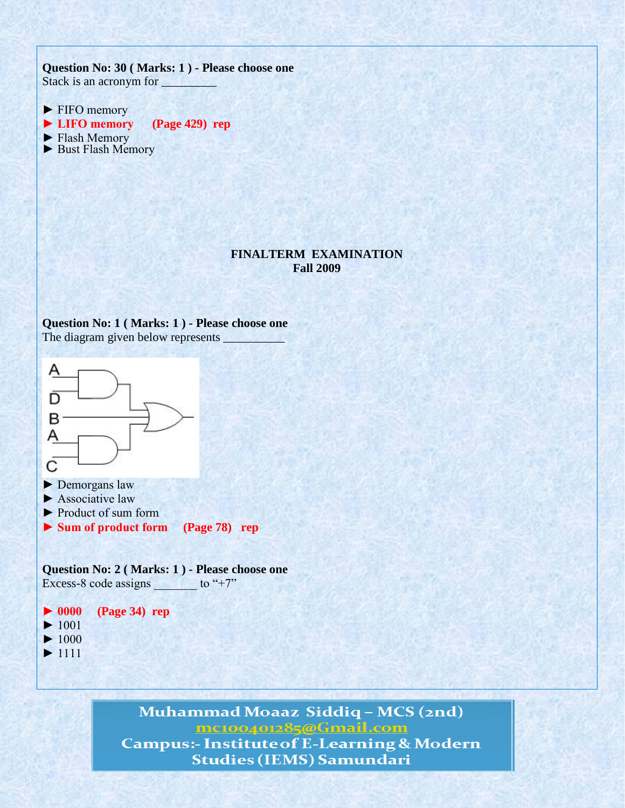## **Question No: 30 ( Marks: 1 ) - Please choose one** Stack is an acronym for \_\_\_\_\_\_\_\_\_

- ► FIFO memory
- **► LIFO memory (Page 429) rep**
- ► Flash Memory
- ► Bust Flash Memory

## **FINALTERM EXAMINATION Fall 2009**

#### **Question No: 1 ( Marks: 1 ) - Please choose one** The diagram given below represents



**Question No: 2 ( Marks: 1 ) - Please choose one** Excess-8 code assigns  $\qquad$  to "+7"

## **► 0000 (Page 34) rep**

- $\blacktriangleright$  1001
- $\blacktriangleright$  1000
- $\blacktriangleright$  1111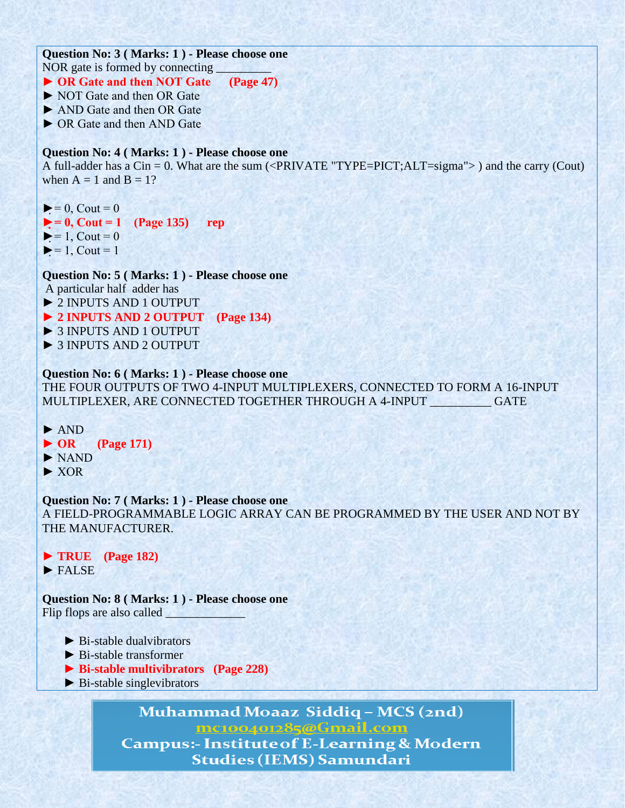## **Question No: 3 ( Marks: 1 ) - Please choose one** NOR gate is formed by connecting

## **► OR Gate and then NOT Gate (Page 47)**

- ► NOT Gate and then OR Gate
- ► AND Gate and then OR Gate
- ► OR Gate and then AND Gate

## **Question No: 4 ( Marks: 1 ) - Please choose one**

A full-adder has a Cin = 0. What are the sum (<PRIVATE "TYPE=PICT;ALT=sigma"> ) and the carry (Cout) when  $A = 1$  and  $B = 1$ ?

- $\blacktriangleright$  = 0, Cout = 0
- $\blacktriangleright$  = 0, Cout = 1 (Page 135) rep
- $\blacktriangleright$  = 1, Cout = 0
- $\blacktriangleright$  = 1, Cout = 1

**Question No: 5 ( Marks: 1 ) - Please choose one**

A particular half adder has

- *►* 2 INPUTS AND 1 OUTPUT
- *►* **2 INPUTS AND 2 OUTPUT (Page 134)**
- *►* 3 INPUTS AND 1 OUTPUT
- *►* 3 INPUTS AND 2 OUTPUT

## **Question No: 6 ( Marks: 1 ) - Please choose one**

THE FOUR OUTPUTS OF TWO 4-INPUT MULTIPLEXERS, CONNECTED TO FORM A 16-INPUT MULTIPLEXER, ARE CONNECTED TOGETHER THROUGH A 4-INPUT GATE

- *►* AND
- **► OR (Page 171)**
- ► NAND
- ► XOR

#### **Question No: 7 ( Marks: 1 ) - Please choose one**

A FIELD-PROGRAMMABLE LOGIC ARRAY CAN BE PROGRAMMED BY THE USER AND NOT BY THE MANUFACTURER.

*►* **TRUE (Page 182)** *►* FALSE

**Question No: 8 ( Marks: 1 ) - Please choose one** Flip flops are also called \_\_\_\_\_\_\_\_\_\_\_\_\_

- $\blacktriangleright$  Bi-stable dualyibrators
- ► Bi-stable transformer
- **► Bi-stable multivibrators (Page 228)**
- $\blacktriangleright$  Bi-stable singlevibrators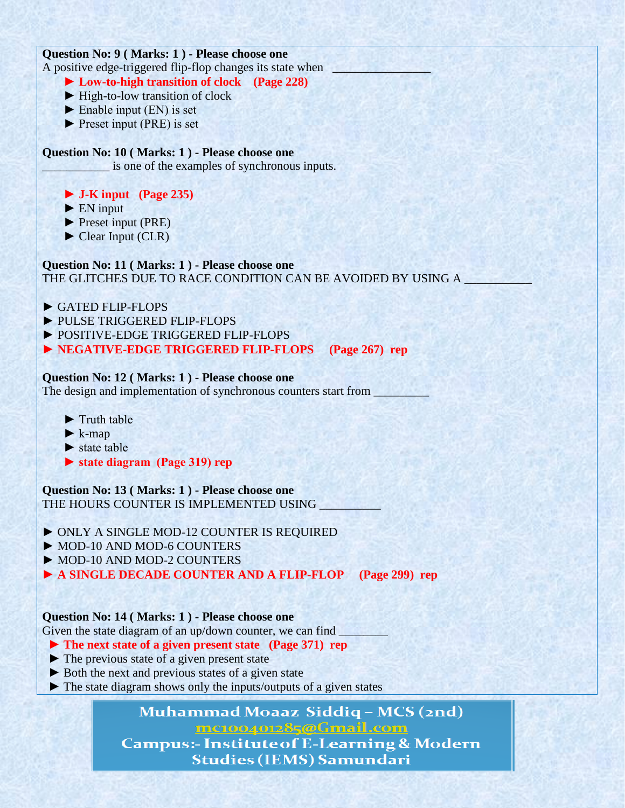## **Question No: 9 ( Marks: 1 ) - Please choose one**

A positive edge-triggered flip-flop changes its state when

- **► Low-to-high transition of clock (Page 228)**
- ► High-to-low transition of clock
- $\blacktriangleright$  Enable input (EN) is set
- ► Preset input (PRE) is set

## **Question No: 10 ( Marks: 1 ) - Please choose one**

\_\_\_\_\_\_\_\_\_\_\_ is one of the examples of synchronous inputs.

## **► J-K input (Page 235)**

 $\blacktriangleright$  EN input

► Preset input (PRE)

► Clear Input (CLR)

# **Question No: 11 ( Marks: 1 ) - Please choose one**

THE GLITCHES DUE TO RACE CONDITION CAN BE AVOIDED BY USING A

- *►* GATED FLIP-FLOPS
- *►* PULSE TRIGGERED FLIP-FLOPS
- *►* POSITIVE-EDGE TRIGGERED FLIP-FLOPS

## *►* **NEGATIVE-EDGE TRIGGERED FLIP-FLOPS (Page 267) rep**

## **Question No: 12 ( Marks: 1 ) - Please choose one**

The design and implementation of synchronous counters start from  $\Box$ 

- ► Truth table
- $\blacktriangleright$  k-map
- $\blacktriangleright$  state table
- **► state diagram (Page 319) rep**

**Question No: 13 ( Marks: 1 ) - Please choose one** THE HOURS COUNTER IS IMPLEMENTED USING

- *►* ONLY A SINGLE MOD-12 COUNTER IS REQUIRED
- *►* MOD-10 AND MOD-6 COUNTERS
- *►* MOD-10 AND MOD-2 COUNTERS
- *►* **A SINGLE DECADE COUNTER AND A FLIP-FLOP (Page 299) rep**

## **Question No: 14 ( Marks: 1 ) - Please choose one**

Given the state diagram of an up/down counter, we can find \_

- **► The next state of a given present state (Page 371) rep**
- ► The previous state of a given present state
- ► Both the next and previous states of a given state
- ► The state diagram shows only the inputs/outputs of a given states

# Muhammad Moaaz Siddiq – MCS (2nd)

mc100401285@Gmail.com

**Campus:- Institute of E-Learning & Modern Studies (IEMS) Samundari**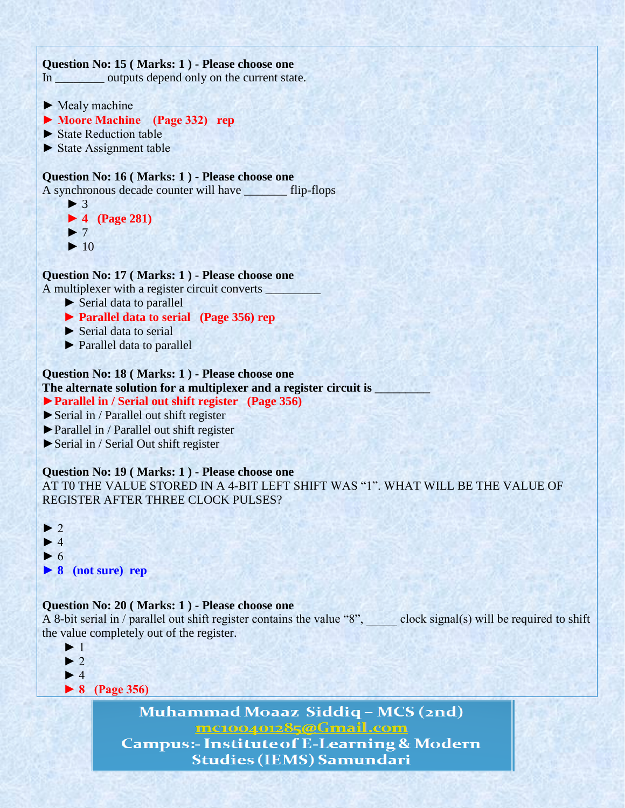

mc100401285@Gmail.com **Campus:- Institute of E-Learning & Modern Studies (IEMS) Samundari**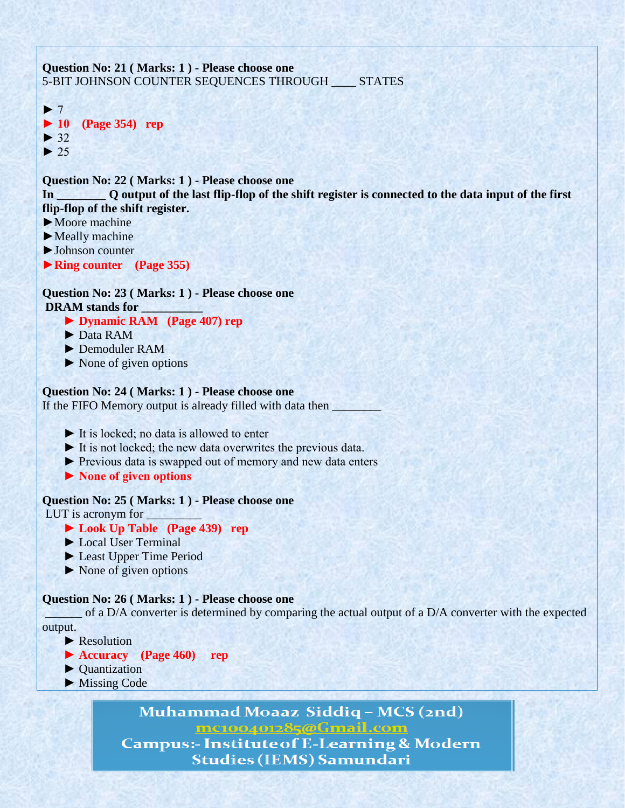

mc100401285@Gmail.com **Campus:- Institute of E-Learning & Modern Studies (IEMS) Samundari**